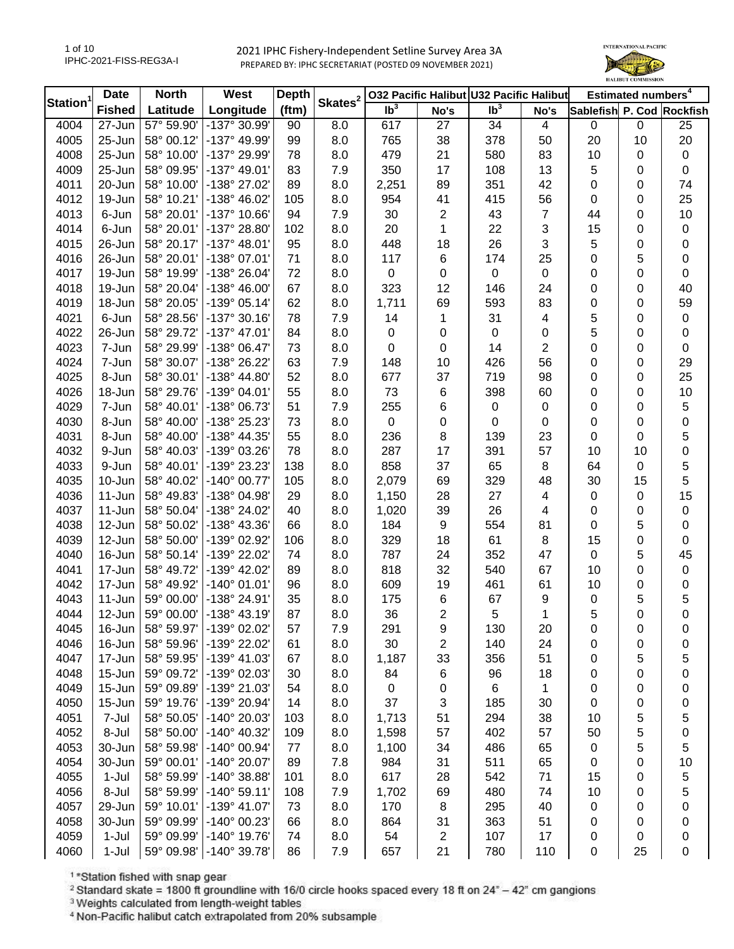

| Station <sup>1</sup> | <b>Date</b>   | <b>North</b> | <b>West</b>           | <b>Depth</b> | Skates <sup>2</sup> | 032 Pacific Halibut U32 Pacific Halibut |                |                            |                | Estimated numbers <sup>4</sup> |                  |             |
|----------------------|---------------|--------------|-----------------------|--------------|---------------------|-----------------------------------------|----------------|----------------------------|----------------|--------------------------------|------------------|-------------|
|                      | <b>Fished</b> | Latitude     | Longitude             | (ftm)        |                     | Ib <sup>3</sup>                         | No's           | $\overline{\mathsf{lb}^3}$ | No's           | Sablefish P. Cod Rockfish      |                  |             |
| 4004                 | 27-Jun        | 57° 59.90    | -137° 30.99'          | 90           | 8.0                 | 617                                     | 27             | 34                         | 4              | $\mathbf 0$                    | $\mathbf 0$      | 25          |
| 4005                 | 25-Jun        | 58° 00.12'   | -137° 49.99'          | 99           | 8.0                 | 765                                     | 38             | 378                        | 50             | 20                             | 10               | 20          |
| 4008                 | 25-Jun        | 58° 10.00'   | -137° 29.99'          | 78           | 8.0                 | 479                                     | 21             | 580                        | 83             | 10                             | 0                | $\pmb{0}$   |
| 4009                 | 25-Jun        | 58° 09.95'   | $-137^{\circ}$ 49.01' | 83           | 7.9                 | 350                                     | 17             | 108                        | 13             | 5                              | 0                | 0           |
| 4011                 | 20-Jun        | 58° 10.00'   | -138° 27.02'          | 89           | 8.0                 | 2,251                                   | 89             | 351                        | 42             | 0                              | 0                | 74          |
| 4012                 | 19-Jun        | 58° 10.21'   | -138° 46.02'          | 105          | 8.0                 | 954                                     | 41             | 415                        | 56             | 0                              | $\boldsymbol{0}$ | 25          |
| 4013                 | 6-Jun         | 58° 20.01'   | $-137^{\circ}$ 10.66' | 94           | 7.9                 | 30                                      | $\mathbf{2}$   | 43                         | $\overline{7}$ | 44                             | 0                | 10          |
| 4014                 | 6-Jun         | 58° 20.01'   | -137° 28.80'          | 102          | 8.0                 | 20                                      | 1              | 22                         | 3              | 15                             | 0                | 0           |
| 4015                 | 26-Jun        | 58° 20.17'   | $-137^{\circ}$ 48.01' | 95           | 8.0                 | 448                                     | 18             | 26                         | 3              | 5                              | 0                | 0           |
| 4016                 | 26-Jun        | 58° 20.01'   | $-138°07.01'$         | 71           | 8.0                 | 117                                     | 6              | 174                        | 25             | 0                              | 5                | 0           |
| 4017                 | 19-Jun        | 58° 19.99'   | -138° 26.04'          | 72           | 8.0                 | $\mathbf 0$                             | 0              | $\pmb{0}$                  | 0              | 0                              | $\boldsymbol{0}$ | $\pmb{0}$   |
| 4018                 | 19-Jun        | 58° 20.04'   | -138° 46.00'          | 67           | 8.0                 | 323                                     | 12             | 146                        | 24             | 0                              | 0                | 40          |
| 4019                 | 18-Jun        | 58° 20.05'   | $-139°05.14'$         | 62           | 8.0                 | 1,711                                   | 69             | 593                        | 83             | 0                              | $\boldsymbol{0}$ | 59          |
| 4021                 | 6-Jun         | 58° 28.56'   | $-137°30.16'$         | 78           | 7.9                 | 14                                      | 1              | 31                         | 4              | 5                              | $\boldsymbol{0}$ | $\pmb{0}$   |
| 4022                 | 26-Jun        | 58° 29.72'   | $-137^{\circ}$ 47.01' | 84           | 8.0                 | $\mathsf 0$                             | 0              | $\mathbf 0$                | 0              | 5                              | $\boldsymbol{0}$ | $\pmb{0}$   |
| 4023                 | 7-Jun         | 58° 29.99'   | -138° 06.47'          | 73           | 8.0                 | 0                                       | 0              | 14                         | 2              | 0                              | $\boldsymbol{0}$ | $\pmb{0}$   |
| 4024                 | 7-Jun         | 58° 30.07'   | -138° 26.22'          | 63           | 7.9                 | 148                                     | 10             | 426                        | 56             | 0                              | $\boldsymbol{0}$ | 29          |
| 4025                 | 8-Jun         | 58° 30.01'   | -138° 44.80'          | 52           | 8.0                 | 677                                     | 37             | 719                        | 98             | 0                              | $\boldsymbol{0}$ | 25          |
| 4026                 | 18-Jun        | 58° 29.76'   | -139° 04.01'          | 55           | 8.0                 | 73                                      | 6              | 398                        | 60             | 0                              | $\boldsymbol{0}$ | 10          |
| 4029                 | 7-Jun         | 58° 40.01'   | -138° 06.73'          | 51           | 7.9                 | 255                                     | 6              | 0                          | 0              | 0                              | 0                | 5           |
| 4030                 | 8-Jun         | 58° 40.00'   | -138° 25.23'          | 73           | 8.0                 | 0                                       | 0              | 0                          | 0              | 0                              | 0                | 0           |
| 4031                 | 8-Jun         | 58° 40.00'   | -138° 44.35'          | 55           | 8.0                 | 236                                     | 8              | 139                        | 23             | 0                              | $\boldsymbol{0}$ | 5           |
|                      | 9-Jun         | 58° 40.03'   | -139° 03.26'          | 78           |                     | 287                                     | 17             | 391                        | 57             | 10                             | 10               |             |
| 4032                 |               |              |                       |              | 8.0                 | 858                                     |                |                            |                |                                |                  | 0           |
| 4033                 | 9-Jun         | 58° 40.01'   | -139° 23.23'          | 138          | 8.0                 |                                         | 37             | 65                         | 8              | 64                             | $\boldsymbol{0}$ | 5           |
| 4035                 | 10-Jun        | 58° 40.02'   | $-140^{\circ}$ 00.77' | 105          | 8.0                 | 2,079                                   | 69             | 329                        | 48             | 30                             | 15               | 5           |
| 4036                 | $11-Jun$      | 58° 49.83'   | -138° 04.98'          | 29           | 8.0                 | 1,150                                   | 28             | 27                         | 4              | 0                              | $\boldsymbol{0}$ | 15          |
| 4037                 | $11$ -Jun     | 58° 50.04'   | -138° 24.02'          | 40           | 8.0                 | 1,020                                   | 39             | 26                         | 4              | 0                              | $\boldsymbol{0}$ | $\pmb{0}$   |
| 4038                 | 12-Jun        | 58° 50.02'   | -138° 43.36'          | 66           | 8.0                 | 184                                     | 9              | 554                        | 81             | 0                              | 5                | 0           |
| 4039                 | 12-Jun        | 58° 50.00'   | -139° 02.92'          | 106          | 8.0                 | 329                                     | 18             | 61                         | 8              | 15                             | $\boldsymbol{0}$ | $\pmb{0}$   |
| 4040                 | 16-Jun        | 58° 50.14'   | -139° 22.02'          | 74           | 8.0                 | 787                                     | 24             | 352                        | 47             | $\mathbf 0$                    | 5                | 45          |
| 4041                 | 17-Jun        | 58° 49.72'   | -139° 42.02'          | 89           | 8.0                 | 818                                     | 32             | 540                        | 67             | 10                             | $\boldsymbol{0}$ | $\pmb{0}$   |
| 4042                 | 17-Jun        | 58° 49.92'   | $-140^{\circ}$ 01.01' | 96           | 8.0                 | 609                                     | 19             | 461                        | 61             | 10                             | $\mathbf 0$      | 0           |
| 4043                 | $11-Jun$      | 59° 00.00'   | -138° 24.91'          | 35           | 8.0                 | 175                                     | 6              | 67                         | 9              | 0                              | 5                | 5           |
| 4044                 | 12-Jun        | 59° 00.00'   | $-138° 43.19'$        | 87           | 8.0                 | 36                                      | $\overline{2}$ | 5                          | 1              | 5                              | 0                | 0           |
| 4045                 | 16-Jun        | 58° 59.97'   | -139° 02.02'          | 57           | 7.9                 | 291                                     | 9              | 130                        | 20             | 0                              | 0                | 0           |
| 4046                 | 16-Jun        | 58° 59.96'   | -139° 22.02'          | 61           | 8.0                 | 30                                      | 2              | 140                        | 24             | 0                              | 0                | 0           |
| 4047                 | 17-Jun        | 58° 59.95'   | -139° 41.03'          | 67           | 8.0                 | 1,187                                   | 33             | 356                        | 51             | 0                              | 5                | 5           |
| 4048                 | $15 - Jun$    | 59° 09.72'   | -139° 02.03'          | 30           | 8.0                 | 84                                      | 6              | 96                         | 18             | 0                              | 0                | 0           |
| 4049                 | 15-Jun        | 59° 09.89'   | -139° 21.03'          | 54           | 8.0                 | 0                                       | 0              | 6                          | 1              | 0                              | 0                | 0           |
| 4050                 | 15-Jun        | 59° 19.76'   | -139° 20.94'          | 14           | 8.0                 | 37                                      | 3              | 185                        | 30             | 0                              | 0                | $\mathbf 0$ |
| 4051                 | 7-Jul         | 58° 50.05'   | -140° 20.03'          | 103          | 8.0                 | 1,713                                   | 51             | 294                        | 38             | 10                             | 5                | 5           |
| 4052                 | 8-Jul         | 58° 50.00'   | -140° 40.32'          | 109          | 8.0                 | 1,598                                   | 57             | 402                        | 57             | 50                             | 5                | 0           |
| 4053                 | 30-Jun        | 58° 59.98'   | -140° 00.94'          | 77           | 8.0                 | 1,100                                   | 34             | 486                        | 65             | 0                              | 5                | 5           |
| 4054                 | 30-Jun        | 59° 00.01'   | -140° 20.07'          | 89           | 7.8                 | 984                                     | 31             | 511                        | 65             | 0                              | 0                | 10          |
| 4055                 | $1-Jul$       | 58° 59.99'   | -140° 38.88'          | 101          | 8.0                 | 617                                     | 28             | 542                        | 71             | 15                             | 0                | 5           |
| 4056                 | 8-Jul         | 58° 59.99'   | $-140^{\circ} 59.11'$ | 108          | 7.9                 | 1,702                                   | 69             | 480                        | 74             | 10                             | 0                | 5           |
| 4057                 | 29-Jun        | 59° 10.01'   | -139° 41.07'          | 73           | 8.0                 | 170                                     | 8              | 295                        | 40             | 0                              | 0                | 0           |
| 4058                 | 30-Jun        | 59° 09.99'   | -140° 00.23'          | 66           | 8.0                 | 864                                     | 31             | 363                        | 51             | 0                              | 0                | 0           |
| 4059                 | $1-Jul$       | 59° 09.99'   | -140° 19.76'          | 74           | 8.0                 | 54                                      | $\overline{c}$ | 107                        | 17             | 0                              | 0                | 0           |
| 4060                 | $1-Jul$       | 59° 09.98'   | -140° 39.78'          | 86           | 7.9                 | 657                                     | 21             | 780                        | 110            | 0                              | 25               | 0           |

<sup>1</sup>\*Station fished with snap gear

<sup>2</sup> Standard skate = 1800 ft groundline with 16/0 circle hooks spaced every 18 ft on  $24^{\circ} - 42^{\circ}$  cm gangions

<sup>3</sup> Weights calculated from length-weight tables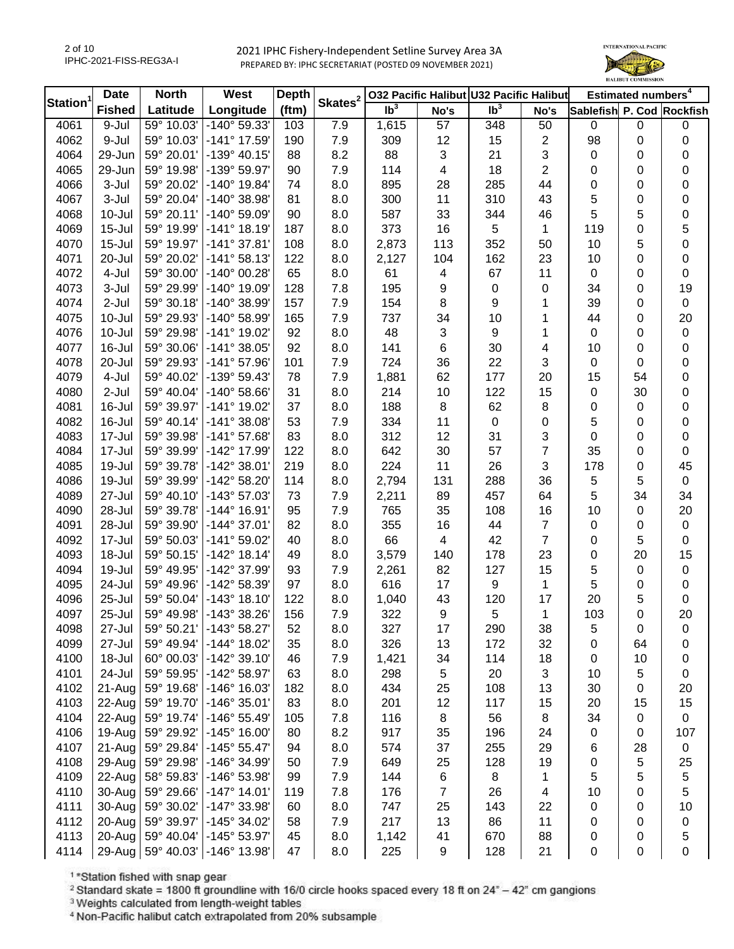

| Station <sup>1</sup> | <b>Date</b>   | <b>North</b> | <b>West</b>           | <b>Depth</b> | Skates <sup>2</sup> |                 |                | 032 Pacific Halibut U32 Pacific Halibut |                           |                           | Estimated numbers <sup>4</sup> |             |
|----------------------|---------------|--------------|-----------------------|--------------|---------------------|-----------------|----------------|-----------------------------------------|---------------------------|---------------------------|--------------------------------|-------------|
|                      | <b>Fished</b> | Latitude     | Longitude             | (ftm)        |                     | Ib <sup>3</sup> | No's           | $\overline{\mathsf{lb}^3}$              | No's                      | Sablefish P. Cod Rockfish |                                |             |
| 4061                 | 9-Jul         | 59° 10.03'   | -140° 59.33'          | 103          | 7.9                 | 1,615           | 57             | 348                                     | 50                        | $\mathbf 0$               | $\mathbf 0$                    | $\pmb{0}$   |
| 4062                 | 9-Jul         | 59° 10.03'   | -141° 17.59'          | 190          | 7.9                 | 309             | 12             | 15                                      | $\overline{\mathbf{c}}$   | 98                        | 0                              | 0           |
| 4064                 | 29-Jun        | 59° 20.01'   | $-139°$ 40.15'        | 88           | 8.2                 | 88              | 3              | 21                                      | $\ensuremath{\mathsf{3}}$ | $\mathbf 0$               | 0                              | 0           |
| 4065                 | 29-Jun        | 59° 19.98'   | -139° 59.97'          | 90           | 7.9                 | 114             | 4              | 18                                      | $\overline{2}$            | 0                         | 0                              | 0           |
| 4066                 | 3-Jul         | 59° 20.02'   | $-140^{\circ}$ 19.84' | 74           | 8.0                 | 895             | 28             | 285                                     | 44                        | 0                         | 0                              | 0           |
| 4067                 | 3-Jul         | 59° 20.04'   | -140° 38.98'          | 81           | 8.0                 | 300             | 11             | 310                                     | 43                        | 5                         | 0                              | 0           |
| 4068                 | $10 -$ Jul    | 59° 20.11'   | -140° 59.09'          | 90           | 8.0                 | 587             | 33             | 344                                     | 46                        | 5                         | 5                              | 0           |
| 4069                 | $15 -$ Jul    | 59° 19.99'   | $-141°$ 18.19'        | 187          | 8.0                 | 373             | 16             | 5                                       | 1                         | 119                       | 0                              | 5           |
| 4070                 | $15 -$ Jul    | 59° 19.97'   | $-141°37.81'$         | 108          | 8.0                 | 2,873           | 113            | 352                                     | 50                        | 10                        | 5                              | 0           |
| 4071                 | 20-Jul        | 59° 20.02'   | $-141°58.13'$         | 122          | 8.0                 | 2,127           | 104            | 162                                     | 23                        | 10                        | 0                              | 0           |
| 4072                 | 4-Jul         | 59° 30.00'   | $-140^{\circ}$ 00.28' | 65           | 8.0                 | 61              | 4              | 67                                      | 11                        | $\pmb{0}$                 | 0                              | 0           |
| 4073                 | 3-Jul         | 59° 29.99'   | $-140^{\circ}$ 19.09' | 128          | 7.8                 | 195             | 9              | 0                                       | 0                         | 34                        | 0                              | 19          |
| 4074                 | 2-Jul         | 59° 30.18'   | -140° 38.99'          | 157          | 7.9                 | 154             | 8              | 9                                       | 1                         | 39                        | 0                              | $\pmb{0}$   |
| 4075                 | $10 -$ Jul    | 59° 29.93'   | -140° 58.99'          | 165          | 7.9                 | 737             | 34             | 10                                      | 1                         | 44                        | 0                              | 20          |
| 4076                 | 10-Jul        | 59° 29.98'   | $-141^{\circ}$ 19.02' | 92           | 8.0                 | 48              | 3              | 9                                       | 1                         | $\pmb{0}$                 | 0                              | $\pmb{0}$   |
| 4077                 | 16-Jul        | 59° 30.06'   | $-141°38.05'$         | 92           | 8.0                 | 141             | $\,6\,$        | 30                                      | 4                         | 10                        | 0                              | 0           |
| 4078                 | 20-Jul        | 59° 29.93'   | $-141°57.96'$         | 101          | 7.9                 | 724             | 36             | 22                                      | 3                         | 0                         | 0                              | 0           |
| 4079                 | 4-Jul         | 59° 40.02'   | -139° 59.43'          | 78           | 7.9                 | 1,881           | 62             | 177                                     | 20                        | 15                        | 54                             | 0           |
| 4080                 | 2-Jul         | 59° 40.04'   | $-140^{\circ}$ 58.66' | 31           | 8.0                 | 214             | 10             | 122                                     | 15                        | $\pmb{0}$                 | 30                             | 0           |
| 4081                 | 16-Jul        | 59° 39.97'   | -141° 19.02'          | 37           | 8.0                 | 188             | 8              | 62                                      |                           |                           | $\mathbf 0$                    | 0           |
| 4082                 | 16-Jul        | 59° 40.14'   | $-141°38.08'$         |              |                     |                 | 11             |                                         | 8                         | 0                         |                                |             |
|                      |               |              |                       | 53           | 7.9                 | 334             |                | $\mathbf 0$                             | 0                         | 5                         | 0                              | 0           |
| 4083                 | 17-Jul        | 59° 39.98'   | $-141°57.68'$         | 83           | 8.0                 | 312             | 12             | 31                                      | 3                         | 0                         | 0                              | 0           |
| 4084                 | 17-Jul        | 59° 39.99'   | -142° 17.99'          | 122          | 8.0                 | 642             | 30             | 57                                      | $\overline{7}$            | 35                        | 0                              | 0           |
| 4085                 | 19-Jul        | 59° 39.78'   | $-142^{\circ}$ 38.01' | 219          | 8.0                 | 224             | 11             | 26                                      | 3                         | 178                       | 0                              | 45          |
| 4086                 | 19-Jul        | 59° 39.99'   | -142° 58.20'          | 114          | 8.0                 | 2,794           | 131            | 288                                     | 36                        | 5                         | 5                              | $\pmb{0}$   |
| 4089                 | 27-Jul        | 59° 40.10'   | $-143°57.03'$         | 73           | 7.9                 | 2,211           | 89             | 457                                     | 64                        | 5                         | 34                             | 34          |
| 4090                 | 28-Jul        | 59° 39.78'   | $-144^{\circ}$ 16.91' | 95           | 7.9                 | 765             | 35             | 108                                     | 16                        | 10                        | 0                              | 20          |
| 4091                 | 28-Jul        | 59° 39.90'   | $-144^{\circ}37.01'$  | 82           | 8.0                 | 355             | 16             | 44                                      | $\overline{7}$            | 0                         | 0                              | $\pmb{0}$   |
| 4092                 | 17-Jul        | 59° 50.03'   | $-141°59.02'$         | 40           | 8.0                 | 66              | 4              | 42                                      | $\overline{7}$            | 0                         | 5                              | 0           |
| 4093                 | 18-Jul        | 59° 50.15'   | $-142^{\circ}$ 18.14' | 49           | 8.0                 | 3,579           | 140            | 178                                     | 23                        | 0                         | 20                             | 15          |
| 4094                 | 19-Jul        | 59° 49.95'   | -142° 37.99'          | 93           | 7.9                 | 2,261           | 82             | 127                                     | 15                        | 5                         | $\mathbf 0$                    | $\pmb{0}$   |
| 4095                 | 24-Jul        | 59° 49.96'   | -142° 58.39'          | 97           | 8.0                 | 616             | 17             | 9                                       | 1                         | 5                         | $\pmb{0}$                      | 0           |
| 4096                 | 25-Jul        | 59° 50.04'   | $-143°$ 18.10'        | 122          | 8.0                 | 1,040           | 43             | 120                                     | 17                        | 20                        | 5                              | 0           |
| 4097                 | 25-Jul        | 59° 49.98'   | $-143°38.26'$         | 156          | 7.9                 | 322             | 9              | 5                                       | $\mathbf{1}$              | 103                       | 0                              | 20          |
| 4098                 | 27-Jul        | 59° 50.21'   | $-143°58.27$          | 52           | 8.0                 | 327             | 17             | 290                                     | 38                        | 5                         | 0                              | 0           |
| 4099                 | 27-Jul        | 59° 49.94'   | -144° 18.02'          | 35           | 8.0                 | 326             | 13             | 172                                     | 32                        | 0                         | 64                             | 0           |
| 4100                 | 18-Jul        | 60° 00.03'   | $-142^{\circ}$ 39.10' | 46           | 7.9                 | 1,421           | 34             | 114                                     | 18                        | 0                         | 10                             | 0           |
| 4101                 | 24-Jul        | 59° 59.95'   | $-142^{\circ} 58.97'$ | 63           | 8.0                 | 298             | 5              | 20                                      | 3                         | 10                        | 5                              | 0           |
| 4102                 | 21-Aug        | 59° 19.68'   | -146° 16.03'          | 182          | 8.0                 | 434             | 25             | 108                                     | 13                        | 30                        | 0                              | 20          |
| 4103                 | 22-Aug        | 59° 19.70'   | $-146°35.01'$         | 83           | 8.0                 | 201             | 12             | 117                                     | 15                        | 20                        | 15                             | 15          |
| 4104                 | 22-Aug        | 59° 19.74'   | $-146°55.49'$         | 105          | 7.8                 | 116             | 8              | 56                                      | 8                         | 34                        | 0                              | $\pmb{0}$   |
| 4106                 | 19-Aug        | 59° 29.92'   | $-145^{\circ}$ 16.00' | 80           | 8.2                 | 917             | 35             | 196                                     | 24                        | 0                         | 0                              | 107         |
| 4107                 | 21-Aug        | 59° 29.84'   | $-145°55.47'$         | 94           | 8.0                 | 574             | 37             | 255                                     | 29                        | 6                         | 28                             | $\pmb{0}$   |
| 4108                 | 29-Aug        | 59° 29.98'   | -146° 34.99'          | 50           | 7.9                 | 649             | 25             | 128                                     | 19                        | 0                         | 5                              | 25          |
| 4109                 | 22-Aug        | 58° 59.83'   | -146° 53.98'          | 99           | 7.9                 | 144             | 6              | 8                                       | 1                         | 5                         | 5                              | $\mathbf 5$ |
| 4110                 | 30-Aug        | 59° 29.66'   | $-147°$ 14.01'        | 119          | 7.8                 | 176             | $\overline{7}$ | 26                                      | 4                         | 10                        | 0                              | 5           |
| 4111                 | 30-Aug        | 59° 30.02'   | -147° 33.98'          | 60           | 8.0                 | 747             | 25             | 143                                     | 22                        | 0                         | 0                              | 10          |
| 4112                 | 20-Aug        | 59° 39.97'   | -145° 34.02'          | 58           | 7.9                 | 217             | 13             | 86                                      | 11                        | 0                         | 0                              | $\pmb{0}$   |
| 4113                 | 20-Aug        | 59° 40.04'   | -145° 53.97'          | 45           | 8.0                 | 1,142           | 41             | 670                                     | 88                        | 0                         | 0                              | 5           |
| 4114                 | 29-Aug        | 59° 40.03'   | -146° 13.98'          | 47           | 8.0                 | 225             | 9              | 128                                     | 21                        | 0                         | 0                              | 0           |

<sup>1</sup>\*Station fished with snap gear

<sup>2</sup> Standard skate = 1800 ft groundline with 16/0 circle hooks spaced every 18 ft on  $24^{\circ}$  - 42" cm gangions

<sup>3</sup> Weights calculated from length-weight tables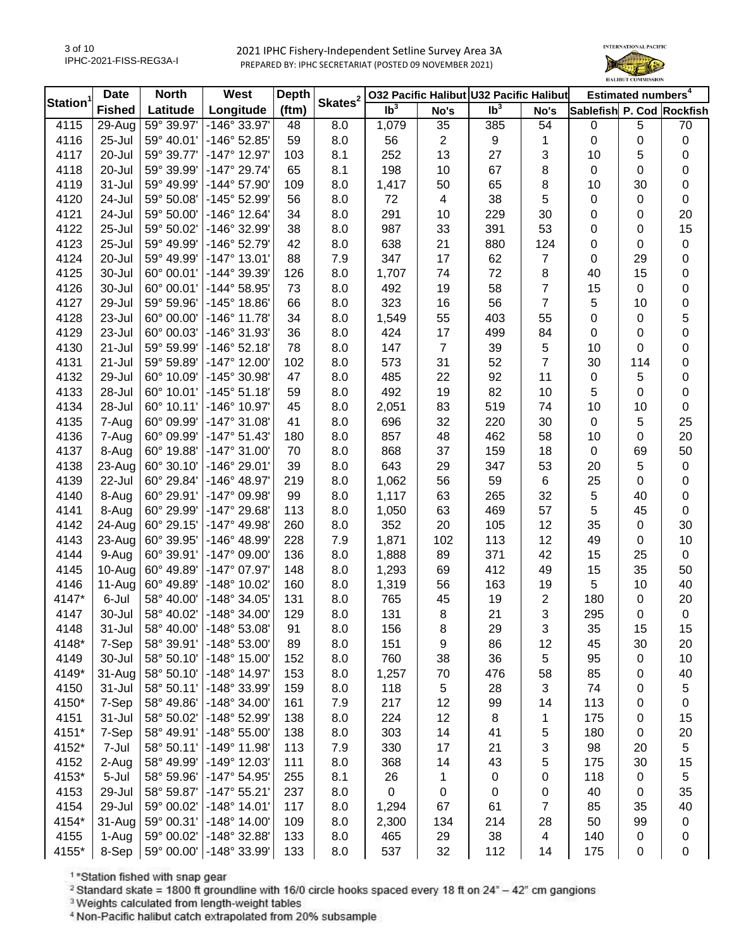

|                | <b>Date</b>   | <b>North</b> | West                  | <b>Depth</b> | Skates <sup>2</sup> |                 |                | 032 Pacific Halibut U32 Pacific Halibut |                |                           | Estimated numbers <sup>4</sup> |             |
|----------------|---------------|--------------|-----------------------|--------------|---------------------|-----------------|----------------|-----------------------------------------|----------------|---------------------------|--------------------------------|-------------|
| <b>Station</b> | <b>Fished</b> | Latitude     | Longitude             | (ftm)        |                     | Ib <sup>3</sup> | No's           | $\overline{\mathsf{lb}^3}$              | No's           | Sablefish P. Cod Rockfish |                                |             |
| 4115           | 29-Aug        | 59° 39.97'   | $-146^\circ 33.97'$   | 48           | 8.0                 | 1,079           | 35             | 385                                     | 54             | $\mathbf 0$               | 5                              | 70          |
| 4116           | 25-Jul        | 59° 40.01'   | -146° 52.85'          | 59           | 8.0                 | 56              | $\overline{c}$ | 9                                       | 1              | 0                         | $\mathbf 0$                    | 0           |
| 4117           | 20-Jul        | 59° 39.77'   | $-147^{\circ}$ 12.97' | 103          | 8.1                 | 252             | 13             | 27                                      | 3              | 10                        | 5                              | 0           |
| 4118           | 20-Jul        | 59° 39.99'   | -147° 29.74'          | 65           | 8.1                 | 198             | 10             | 67                                      | 8              | 0                         | $\mathbf 0$                    | 0           |
| 4119           | 31-Jul        | 59° 49.99'   | -144° 57.90'          | 109          | 8.0                 | 1,417           | 50             | 65                                      | 8              | 10                        | 30                             | 0           |
| 4120           | 24-Jul        | 59° 50.08'   | -145° 52.99'          | 56           | 8.0                 | 72              | 4              | 38                                      | 5              | 0                         | $\mathbf 0$                    | $\pmb{0}$   |
| 4121           | 24-Jul        | 59° 50.00'   | $-146°$ 12.64'        | 34           | 8.0                 | 291             | 10             | 229                                     | 30             | 0                         | 0                              | 20          |
| 4122           | 25-Jul        | 59° 50.02'   | -146° 32.99'          | 38           | 8.0                 | 987             | 33             | 391                                     | 53             | 0                         | $\mathbf 0$                    | 15          |
| 4123           | 25-Jul        | 59° 49.99'   | -146° 52.79'          | 42           | 8.0                 | 638             | 21             | 880                                     | 124            | 0                         | 0                              | 0           |
| 4124           | 20-Jul        | 59° 49.99'   | $-147^{\circ}$ 13.01' | 88           | 7.9                 | 347             | 17             | 62                                      | 7              | 0                         | 29                             | 0           |
| 4125           | 30-Jul        | 60° 00.01'   | -144° 39.39'          | 126          | 8.0                 | 1,707           | 74             | 72                                      | 8              | 40                        | 15                             | 0           |
| 4126           | 30-Jul        | 60° 00.01'   | $-144^{\circ} 58.95'$ | 73           | 8.0                 | 492             | 19             | 58                                      | $\overline{7}$ | 15                        | $\mathsf 0$                    | 0           |
| 4127           | 29-Jul        | 59° 59.96'   | $-145^{\circ}$ 18.86' | 66           | 8.0                 | 323             | 16             | 56                                      | $\overline{7}$ | 5                         | 10                             | 0           |
| 4128           | 23-Jul        | 60° 00.00'   | $-146^{\circ}$ 11.78' | 34           | 8.0                 | 1,549           | 55             | 403                                     | 55             | 0                         | $\mathbf 0$                    | 5           |
| 4129           | 23-Jul        | 60° 00.03'   | -146° 31.93'          | 36           | 8.0                 | 424             | 17             | 499                                     | 84             | 0                         | $\pmb{0}$                      | 0           |
| 4130           | 21-Jul        | 59° 59.99'   | $-146°52.18'$         | 78           | 8.0                 | 147             | $\overline{7}$ | 39                                      | 5              | 10                        | 0                              | 0           |
| 4131           | 21-Jul        | 59° 59.89'   | $-147^{\circ}$ 12.00' | 102          | 8.0                 | 573             | 31             | 52                                      | $\overline{7}$ | 30                        | 114                            | 0           |
| 4132           | 29-Jul        | 60° 10.09'   | -145° 30.98'          | 47           | 8.0                 | 485             | 22             | 92                                      | 11             | $\mathbf 0$               | 5                              | 0           |
| 4133           | 28-Jul        | 60° 10.01'   | $-145°51.18'$         | 59           | 8.0                 | 492             | 19             | 82                                      | 10             | 5                         | 0                              | 0           |
| 4134           | 28-Jul        | 60° 10.11'   | -146° 10.97'          | 45           | 8.0                 | 2,051           | 83             | 519                                     | 74             | 10                        | 10                             | 0           |
| 4135           | 7-Aug         | 60° 09.99'   | $-147°31.08'$         | 41           | 8.0                 | 696             | 32             | 220                                     | 30             | 0                         | 5                              | 25          |
| 4136           | 7-Aug         | 60° 09.99'   | $-147°51.43'$         | 180          | 8.0                 | 857             | 48             | 462                                     | 58             | 10                        | 0                              | 20          |
| 4137           | 8-Aug         | 60° 19.88'   | $-147°31.00'$         | 70           | 8.0                 | 868             | 37             | 159                                     | 18             | 0                         | 69                             | 50          |
| 4138           | 23-Aug        | 60° 30.10'   | -146° 29.01'          | 39           | 8.0                 | 643             | 29             | 347                                     | 53             | 20                        | 5                              | $\pmb{0}$   |
| 4139           | 22-Jul        | 60° 29.84'   | -146° 48.97'          | 219          | 8.0                 | 1,062           | 56             | 59                                      | 6              | 25                        | 0                              | 0           |
| 4140           | 8-Aug         | 60° 29.91'   | -147° 09.98'          | 99           | 8.0                 | 1,117           | 63             | 265                                     | 32             | 5                         | 40                             | 0           |
| 4141           | 8-Aug         | 60° 29.99'   | -147° 29.68'          | 113          | 8.0                 | 1,050           | 63             | 469                                     | 57             | 5                         | 45                             | $\pmb{0}$   |
| 4142           | 24-Aug        | 60° 29.15'   | -147° 49.98'          | 260          | 8.0                 | 352             | 20             | 105                                     | 12             | 35                        | $\pmb{0}$                      | 30          |
| 4143           | 23-Aug        | 60° 39.95'   | -146° 48.99'          | 228          | 7.9                 | 1,871           | 102            | 113                                     | 12             | 49                        | $\mathbf 0$                    | 10          |
| 4144           | 9-Aug         | 60° 39.91'   | $-147^{\circ}$ 09.00' | 136          | 8.0                 | 1,888           | 89             | 371                                     | 42             | 15                        | 25                             | $\mathsf 0$ |
| 4145           | 10-Aug        | 60° 49.89'   | $-147^{\circ}$ 07.97' | 148          | 8.0                 | 1,293           | 69             | 412                                     | 49             | 15                        | 35                             | 50          |
| 4146           | 11-Aug        | 60° 49.89'   | $-148°$ 10.02'        | 160          | 8.0                 | 1,319           | 56             | 163                                     | 19             | 5                         | 10                             | 40          |
| 4147*          | 6-Jul         | 58° 40.00'   | -148° 34.05'          | 131          | 8.0                 | 765             | 45             | 19                                      | 2              | 180                       | $\mathbf 0$                    | 20          |
| 4147           | 30-Jul        | 58° 40.02'   | $-148°34.00'$         | 129          | 8.0                 | 131             | 8              | 21                                      | 3              | 295                       | 0                              | $\pmb{0}$   |
| 4148           | 31-Jul        | 58° 40.00'   | -148° 53.08           | 91           | 8.0                 | 156             | 8              | 29                                      | З              | 35                        | 15                             | 15          |
| 4148*          | 7-Sep         | 58° 39.91'   | $-148°53.00'$         | 89           | 8.0                 | 151             | 9              | 86                                      | 12             | 45                        | 30                             | 20          |
| 4149           | 30-Jul        | 58° 50.10'   | $-148^\circ$ 15.00'   | 152          | 8.0                 | 760             | 38             | 36                                      | 5              | 95                        | 0                              | 10          |
| 4149*          | 31-Aug        | 58° 50.10'   | $-148°$ 14.97'        | 153          | 8.0                 | 1,257           | 70             | 476                                     | 58             | 85                        | 0                              | 40          |
| 4150           | 31-Jul        | 58° 50.11'   | -148° 33.99'          | 159          | 8.0                 | 118             | 5              | 28                                      | 3              | 74                        | 0                              | 5           |
| 4150*          | 7-Sep         | 58° 49.86'   | $-148°34.00'$         | 161          | 7.9                 | 217             | 12             | 99                                      | 14             | 113                       | 0                              | 0           |
| 4151           | 31-Jul        | 58° 50.02'   | -148° 52.99'          | 138          | 8.0                 | 224             | 12             | 8                                       | 1              | 175                       | 0                              | 15          |
| 4151*          | 7-Sep         | 58° 49.91'   | $-148°55.00'$         | 138          | 8.0                 | 303             | 14             | 41                                      | 5              | 180                       | 0                              | 20          |
| 4152*          | 7-Jul         | 58° 50.11'   | $-149°$ 11.98'        | 113          | 7.9                 | 330             | 17             | 21                                      | 3              | 98                        | 20                             | 5           |
| 4152           | 2-Aug         | 58° 49.99'   | -149° 12.03'          | 111          | 8.0                 | 368             | 14             | 43                                      | 5              | 175                       | 30                             | 15          |
| 4153*          | 5-Jul         | 58° 59.96'   | $-147^{\circ} 54.95'$ | 255          | 8.1                 | 26              | 1              | 0                                       | 0              | 118                       | $\mathbf 0$                    | 5           |
| 4153           | 29-Jul        | 58° 59.87'   | $-147°55.21'$         | 237          | 8.0                 | $\mathbf 0$     | 0              | 0                                       | 0              | 40                        | $\mathbf 0$                    | 35          |
| 4154           | 29-Jul        | 59° 00.02'   | $-148°$ 14.01'        | 117          | 8.0                 | 1,294           | 67             | 61                                      | 7              | 85                        | 35                             | 40          |
| 4154*          | 31-Aug        | 59° 00.31'   | $-148^\circ$ 14.00'   | 109          | 8.0                 | 2,300           | 134            | 214                                     | 28             | 50                        | 99                             | $\pmb{0}$   |
| 4155           | 1-Aug         | 59° 00.02'   | -148° 32.88'          | 133          | 8.0                 | 465             | 29             | 38                                      | 4              | 140                       | $\pmb{0}$                      | 0           |
| 4155*          | 8-Sep         | 59° 00.00'   | -148° 33.99'          | 133          | 8.0                 | 537             | 32             | 112                                     | 14             | 175                       | $\mathbf 0$                    | 0           |

<sup>1</sup>\*Station fished with snap gear

<sup>2</sup> Standard skate = 1800 ft groundline with 16/0 circle hooks spaced every 18 ft on  $24^{\circ}$  - 42" cm gangions

<sup>3</sup> Weights calculated from length-weight tables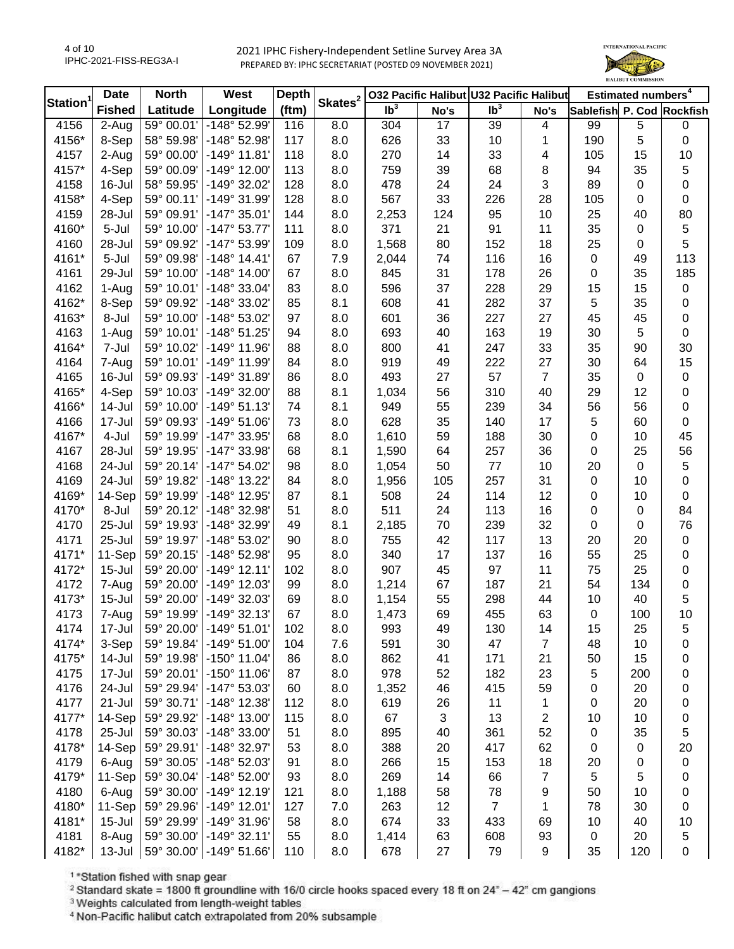

| Station <sup>1</sup> | <b>Date</b>         | <b>North</b> | West                           | <b>Depth</b> | Skates <sup>2</sup> |                 |      | 032 Pacific Halibut U32 Pacific Halibut |                |                           | Estimated numbers <sup>4</sup> |           |
|----------------------|---------------------|--------------|--------------------------------|--------------|---------------------|-----------------|------|-----------------------------------------|----------------|---------------------------|--------------------------------|-----------|
|                      | <b>Fished</b>       | Latitude     | Longitude                      | (ftm)        |                     | Ib <sup>3</sup> | No's | Ib <sup>3</sup>                         | No's           | Sablefish P. Cod Rockfish |                                |           |
| 4156                 | $\overline{2}$ -Aug | 59° 00.01'   | -148° 52.99'                   | 116          | 8.0                 | 304             | 17   | 39                                      | 4              | 99                        | 5                              | 0         |
| 4156*                | 8-Sep               | 58° 59.98'   | -148° 52.98'                   | 117          | 8.0                 | 626             | 33   | 10                                      | 1              | 190                       | 5                              | 0         |
| 4157                 | 2-Aug               | 59° 00.00'   | $-149°$ 11.81                  | 118          | 8.0                 | 270             | 14   | 33                                      | 4              | 105                       | 15                             | 10        |
| 4157*                | 4-Sep               | 59° 00.09'   | $-149°$ 12.00                  | 113          | 8.0                 | 759             | 39   | 68                                      | 8              | 94                        | 35                             | 5         |
| 4158                 | $16 -$ Jul          | 58° 59.95'   | -149° 32.02'                   | 128          | 8.0                 | 478             | 24   | 24                                      | 3              | 89                        | $\boldsymbol{0}$               | 0         |
| 4158*                | 4-Sep               | 59° 00.11'   | -149° 31.99'                   | 128          | 8.0                 | 567             | 33   | 226                                     | 28             | 105                       | 0                              | $\pmb{0}$ |
| 4159                 | 28-Jul              | 59° 09.91'   | $-147°35.01'$                  | 144          | 8.0                 | 2,253           | 124  | 95                                      | 10             | 25                        | 40                             | 80        |
| 4160*                | 5-Jul               | 59° 10.00'   | $-147°53.77'$                  | 111          | 8.0                 | 371             | 21   | 91                                      | 11             | 35                        | $\boldsymbol{0}$               | 5         |
| 4160                 | 28-Jul              | 59° 09.92'   | -147° 53.99'                   | 109          | 8.0                 | 1,568           | 80   | 152                                     | 18             | 25                        | $\boldsymbol{0}$               | 5         |
| 4161*                | 5-Jul               | 59° 09.98'   | $-148°$ 14.41'                 | 67           | 7.9                 | 2,044           | 74   | 116                                     | 16             | 0                         | 49                             | 113       |
| 4161                 | 29-Jul              | 59° 10.00'   | $-148^\circ$ 14.00             | 67           | 8.0                 | 845             | 31   | 178                                     | 26             | 0                         | 35                             | 185       |
| 4162                 | 1-Aug               | 59° 10.01'   | -148° 33.04'                   | 83           | 8.0                 | 596             | 37   | 228                                     | 29             | 15                        | 15                             | $\pmb{0}$ |
| 4162*                | 8-Sep               | 59° 09.92'   | -148° 33.02'                   | 85           | 8.1                 | 608             | 41   | 282                                     | 37             | 5                         | 35                             | 0         |
| 4163*                | 8-Jul               | 59° 10.00'   | -148° 53.02'                   | 97           | 8.0                 | 601             | 36   | 227                                     | 27             | 45                        | 45                             | $\pmb{0}$ |
| 4163                 | 1-Aug               | 59° 10.01'   | $-148°51.25'$                  | 94           | 8.0                 | 693             | 40   | 163                                     | 19             | 30                        | 5                              | $\pmb{0}$ |
| 4164*                | 7-Jul               | 59° 10.02'   | $-149°$ 11.96'                 | 88           | 8.0                 | 800             | 41   | 247                                     | 33             | 35                        | 90                             | 30        |
| 4164                 | 7-Aug               | 59° 10.01'   | -149° 11.99'                   | 84           | 8.0                 | 919             | 49   | 222                                     | 27             | 30                        | 64                             | 15        |
| 4165                 | 16-Jul              | 59° 09.93'   | -149° 31.89'                   | 86           | 8.0                 | 493             | 27   | 57                                      | $\overline{7}$ | 35                        | $\boldsymbol{0}$               | 0         |
| 4165*                | 4-Sep               | 59° 10.03'   | $-149°32.00'$                  | 88           | 8.1                 | 1,034           | 56   | 310                                     | 40             | 29                        | 12                             | 0         |
| 4166*                | 14-Jul              | 59° 10.00'   | $-149°51.13'$                  | 74           | 8.1                 | 949             | 55   | 239                                     | 34             | 56                        | 56                             | 0         |
| 4166                 | 17-Jul              | 59° 09.93'   | $-149°51.06'$                  | 73           | 8.0                 | 628             | 35   | 140                                     | 17             | 5                         | 60                             | 0         |
| 4167*                | 4-Jul               | 59° 19.99'   | -147° 33.95'                   | 68           | 8.0                 | 1,610           | 59   | 188                                     | 30             | 0                         | 10                             | 45        |
| 4167                 | 28-Jul              | 59° 19.95'   | -147° 33.98'                   | 68           | 8.1                 | 1,590           | 64   | 257                                     | 36             | 0                         | 25                             | 56        |
| 4168                 | 24-Jul              | 59° 20.14'   | $-147^{\circ} 54.02'$          | 98           | 8.0                 | 1,054           | 50   | 77                                      | 10             | 20                        | $\mathbf 0$                    | 5         |
| 4169                 | 24-Jul              | 59° 19.82'   | -148° 13.22'                   | 84           | 8.0                 | 1,956           | 105  | 257                                     | 31             | 0                         | 10                             | 0         |
| 4169*                | 14-Sep              | 59° 19.99'   | -148° 12.95'                   | 87           | 8.1                 | 508             | 24   | 114                                     | 12             | 0                         | 10                             | 0         |
| 4170*                | 8-Jul               | 59° 20.12'   | -148° 32.98'                   | 51           | 8.0                 | 511             | 24   | 113                                     | 16             | 0                         | $\boldsymbol{0}$               | 84        |
| 4170                 | 25-Jul              | 59° 19.93'   | -148° 32.99'                   | 49           | 8.1                 | 2,185           | 70   | 239                                     | 32             | 0                         | $\boldsymbol{0}$               | 76        |
| 4171                 | 25-Jul              | 59° 19.97'   | -148° 53.02'                   | 90           | 8.0                 | 755             | 42   | 117                                     | 13             | 20                        | 20                             | $\pmb{0}$ |
| 4171*                | 11-Sep              | 59° 20.15'   | -148° 52.98'                   | 95           | 8.0                 | 340             | 17   | 137                                     | 16             | 55                        | 25                             | 0         |
| 4172*                | $15 -$ Jul          | 59° 20.00'   | $-149°$ 12.11'                 | 102          | 8.0                 | 907             | 45   | 97                                      | 11             | 75                        | 25                             | 0         |
| 4172                 | 7-Aug               | 59° 20.00'   | -149° 12.03'                   | 99           | 8.0                 | 1,214           | 67   | 187                                     | 21             | 54                        | 134                            | 0         |
| 4173*                | $15 -$ Jul          | 59° 20.00'   | -149° 32.03'                   | 69           | 8.0                 | 1,154           | 55   | 298                                     | 44             | 10                        | 40                             | 5         |
| 4173                 | 7-Aug               | 59° 19.99'   | $-149°32.13'$                  | 67           | 8.0                 | 1,473           | 69   | 455                                     | 63             | 0                         | 100                            | 10        |
| 4174                 | 17-Jul              | 59° 20.00'   | $-149°51.01'$                  | 102          | 8.0                 |                 | 49   | 130                                     | 14             | 15                        | 25                             |           |
| 4174*                | 3-Sep               | 59° 19.84'   | $-149°51.00'$                  | 104          | 7.6                 | 993<br>591      | 30   | 47                                      | 7              | 48                        | 10                             | 5<br>0    |
| 4175*                | 14-Jul              | 59° 19.98'   | $-150^{\circ}$ 11.04'          | 86           | 8.0                 | 862             | 41   | 171                                     | 21             | 50                        | 15                             |           |
| 4175                 | 17-Jul              | 59° 20.01'   | $-150^{\circ}$ 11.06'          | 87           | 8.0                 | 978             | 52   | 182                                     | 23             | 5                         | 200                            | 0         |
|                      | 24-Jul              | 59° 29.94'   |                                | 60           |                     |                 |      | 415                                     |                |                           | 20                             | 0         |
| 4176<br>4177         |                     |              | -147° 53.03'<br>$-148°$ 12.38' | 112          | 8.0                 | 1,352           | 46   |                                         | 59             | 0                         |                                | 0         |
|                      | 21-Jul              | 59° 30.71'   | $-148°$ 13.00'                 |              | 8.0                 | 619             | 26   | 11                                      | 1              | 0                         | 20                             | 0         |
| 4177*                | 14-Sep              | 59° 29.92'   |                                | 115          | 8.0                 | 67              | 3    | 13                                      | 2              | 10                        | 10                             | 0         |
| 4178                 | 25-Jul              | 59° 30.03'   | $-148°33.00'$                  | 51           | 8.0                 | 895             | 40   | 361                                     | 52             | 0                         | 35                             | 5         |
| 4178*                | 14-Sep              | 59° 29.91'   | -148° 32.97'                   | 53           | 8.0                 | 388             | 20   | 417                                     | 62             | 0                         | 0                              | 20        |
| 4179                 | 6-Aug               | 59° 30.05'   | -148° 52.03'                   | 91           | 8.0                 | 266             | 15   | 153                                     | 18             | 20                        | 0                              | 0         |
| 4179*                | 11-Sep              | 59° 30.04'   | -148° 52.00'                   | 93           | 8.0                 | 269             | 14   | 66                                      | 7              | 5                         | 5                              | 0         |
| 4180                 | 6-Aug               | 59° 30.00'   | $-149°$ 12.19                  | 121          | 8.0                 | 1,188           | 58   | 78                                      | 9              | 50                        | 10                             | 0         |
| 4180*                | 11-Sep              | 59° 29.96'   | $-149°$ 12.01'                 | 127          | 7.0                 | 263             | 12   | $\overline{7}$                          | 1              | 78                        | 30                             | 0         |
| 4181*                | $15 -$ Jul          | 59° 29.99'   | -149° 31.96'                   | 58           | 8.0                 | 674             | 33   | 433                                     | 69             | 10                        | 40                             | 10        |
| 4181                 | 8-Aug               | 59° 30.00'   | $-149°32.11'$                  | 55           | 8.0                 | 1,414           | 63   | 608                                     | 93             | 0                         | 20                             | 5         |
| 4182*                | $13 -$ Jul          | 59° 30.00'   | $-149°51.66'$                  | 110          | 8.0                 | 678             | 27   | 79                                      | 9              | 35                        | 120                            | 0         |

<sup>1</sup>\*Station fished with snap gear

<sup>2</sup> Standard skate = 1800 ft groundline with 16/0 circle hooks spaced every 18 ft on  $24^{\circ}$  - 42" cm gangions

<sup>3</sup> Weights calculated from length-weight tables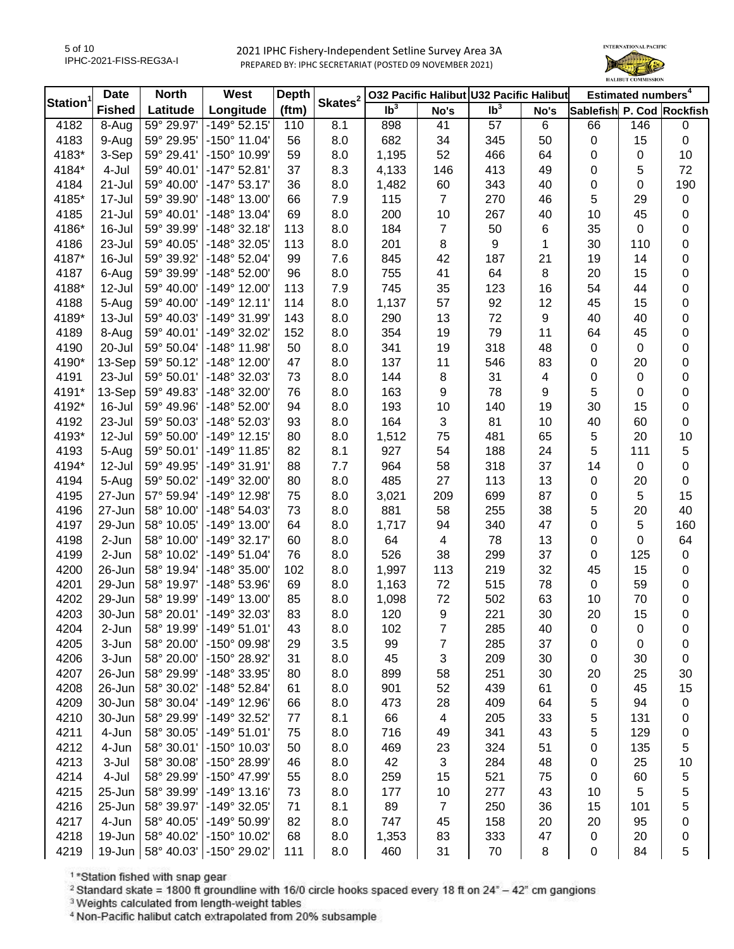

|                | <b>Date</b>   | <b>North</b> | West                  | Depth    | Skates <sup>2</sup> |                 |                | 032 Pacific Halibut U32 Pacific Halibut |      |                           | Estimated numbers <sup>4</sup> |           |
|----------------|---------------|--------------|-----------------------|----------|---------------------|-----------------|----------------|-----------------------------------------|------|---------------------------|--------------------------------|-----------|
| <b>Station</b> | <b>Fished</b> | Latitude     | Longitude             | (ftm)    |                     | Ib <sup>3</sup> | No's           | Ib <sup>3</sup>                         | No's | Sablefish P. Cod Rockfish |                                |           |
| 4182           | 8-Aug         | 59° 29.97'   | $-149°52.15'$         | 110      | 8.1                 | 898             | 41             | 57                                      | 6    | 66                        | 146                            | 0         |
| 4183           | 9-Aug         | 59° 29.95'   | $-150^{\circ}$ 11.04' | 56       | 8.0                 | 682             | 34             | 345                                     | 50   | 0                         | 15                             | $\pmb{0}$ |
| 4183*          | 3-Sep         | 59° 29.41'   | -150° 10.99'          | 59       | 8.0                 | 1,195           | 52             | 466                                     | 64   | 0                         | $\mathbf 0$                    | 10        |
| 4184*          | 4-Jul         | 59° 40.01'   | $-147°52.81'$         | 37       | 8.3                 | 4,133           | 146            | 413                                     | 49   | 0                         | 5                              | 72        |
| 4184           | 21-Jul        | 59° 40.00'   | $-147°53.17'$         | 36       | 8.0                 | 1,482           | 60             | 343                                     | 40   | 0                         | 0                              | 190       |
| 4185*          | 17-Jul        | 59° 39.90'   | -148° 13.00'          | 66       | 7.9                 | 115             | $\overline{7}$ | 270                                     | 46   | 5                         | 29                             | $\pmb{0}$ |
| 4185           | 21-Jul        | 59° 40.01'   | $-148°$ 13.04'        | 69       | 8.0                 | 200             | 10             | 267                                     | 40   | 10                        | 45                             | 0         |
| 4186*          | 16-Jul        | 59° 39.99'   | $-148°32.18'$         | 113      | 8.0                 | 184             | $\overline{7}$ | 50                                      | 6    | 35                        | 0                              | 0         |
| 4186           | 23-Jul        | 59° 40.05'   | -148° 32.05'          | 113      | 8.0                 | 201             | 8              | 9                                       | 1    | 30                        | 110                            | 0         |
| 4187*          | 16-Jul        | 59° 39.92'   | $-148°52.04'$         | 99       | 7.6                 | 845             | 42             | 187                                     | 21   | 19                        | 14                             | 0         |
| 4187           | 6-Aug         | 59° 39.99'   | $-148°52.00'$         | 96       | 8.0                 | 755             | 41             | 64                                      | 8    | 20                        | 15                             | 0         |
| 4188*          | 12-Jul        | 59° 40.00'   | $-149^{\circ}$ 12.00' | 113      | 7.9                 | 745             | 35             | 123                                     | 16   | 54                        | 44                             | 0         |
| 4188           | 5-Aug         | 59° 40.00'   | $-149°$ 12.11'        | 114      | 8.0                 | 1,137           | 57             | 92                                      | 12   | 45                        | 15                             | 0         |
| 4189*          | $13 -$ Jul    | 59° 40.03'   | -149° 31.99'          | 143      | 8.0                 | 290             | 13             | 72                                      | 9    | 40                        | 40                             | 0         |
| 4189           | 8-Aug         | 59° 40.01'   | -149° 32.02'          | 152      | 8.0                 | 354             | 19             | 79                                      | 11   | 64                        | 45                             | 0         |
| 4190           | 20-Jul        | 59° 50.04'   | $-148^\circ$ 11.98'   | 50       | 8.0                 | 341             | 19             | 318                                     | 48   | 0                         | $\mathbf 0$                    | 0         |
| 4190*          | 13-Sep        | 59° 50.12'   | $-148^\circ$ 12.00'   | 47       | 8.0                 | 137             | 11             | 546                                     | 83   | 0                         | 20                             | 0         |
| 4191           | 23-Jul        | 59° 50.01'   | -148° 32.03'          | 73       | 8.0                 | 144             | 8              | 31                                      | 4    | 0                         | $\boldsymbol{0}$               | 0         |
| 4191*          | 13-Sep        | 59° 49.83'   | -148° 32.00'          | 76       | 8.0                 | 163             | 9              | 78                                      | 9    | 5                         | 0                              | 0         |
| 4192*          | 16-Jul        | 59° 49.96'   | $-148°52.00'$         | 94       | 8.0                 | 193             | 10             | 140                                     | 19   | 30                        | 15                             | 0         |
| 4192           | 23-Jul        | 59° 50.03'   | -148° 52.03'          | 93       | 8.0                 | 164             | 3              | 81                                      | 10   | 40                        | 60                             | 0         |
| 4193*          | 12-Jul        | 59° 50.00'   | $-149°$ 12.15'        | 80       | 8.0                 | 1,512           | 75             | 481                                     | 65   | 5                         | 20                             | 10        |
| 4193           | 5-Aug         | 59° 50.01'   | $-149°$ 11.85'        | 82       | 8.1                 | 927             | 54             | 188                                     | 24   | 5                         | 111                            | 5         |
| 4194*          | 12-Jul        | 59° 49.95'   | $-149°31.91'$         | 88       | 7.7                 | 964             | 58             | 318                                     | 37   | 14                        | $\mathbf 0$                    | 0         |
| 4194           | 5-Aug         | 59° 50.02'   | -149° 32.00'          | 80       | 8.0                 | 485             | 27             | 113                                     | 13   | 0                         | 20                             | $\pmb{0}$ |
| 4195           | 27-Jun        | 57° 59.94'   | -149° 12.98'          | 75       | 8.0                 | 3,021           | 209            | 699                                     | 87   | 0                         | 5                              | 15        |
| 4196           | 27-Jun        | 58° 10.00'   | -148° 54.03'          | 73       | 8.0                 | 881             | 58             | 255                                     | 38   | 5                         | 20                             | 40        |
| 4197           | 29-Jun        | 58° 10.05'   | -149° 13.00'          | 64       | 8.0                 | 1,717           | 94             | 340                                     | 47   | 0                         | 5                              | 160       |
| 4198           | 2-Jun         | 58° 10.00'   | $-149°32.17'$         | 60       | 8.0                 | 64              | 4              | 78                                      | 13   | 0                         | 0                              | 64        |
| 4199           | 2-Jun         | 58° 10.02'   | $-149°51.04'$         | 76       | 8.0                 | 526             | 38             | 299                                     | 37   | 0                         | 125                            | $\pmb{0}$ |
| 4200           | 26-Jun        | 58° 19.94'   | $-148°35.00'$         | 102      | 8.0                 | 1,997           | 113            | 219                                     | 32   | 45                        | 15                             | 0         |
| 4201           | 29-Jun        | 58° 19.97'   | -148° 53.96'          | 69       | 8.0                 | 1,163           | 72             | 515                                     | 78   | $\mathsf 0$               | 59                             | 0         |
| 4202           | 29-Jun        | 58° 19.99'   | $-149°$ 13.00'        | 85       | 8.0                 | 1,098           | 72             | 502                                     | 63   | 10                        | 70                             | $\pmb{0}$ |
| 4203           | 30-Jun        | 58° 20.01'   | $-149°32.03'$         | 83       | 8.0                 | 120             | 9              | 221                                     | 30   | 20                        | 15                             | 0         |
| 4204           | $2-Jun$       | 58° 19.99'   | $-149°51.01'$         | 43       | 8.0                 | 102             | $\overline{7}$ | 285                                     | 40   |                           |                                | 0         |
| 4205           | 3-Jun         | 58° 20.00'   | -150° 09.98'          | 29       | 3.5                 | 99              | 7              | 285                                     | 37   | O                         | O<br>0                         | 0         |
| 4206           | 3-Jun         | 58° 20.00'   | -150° 28.92'          | 31       | 8.0                 | 45              | 3              | 209                                     | 30   | 0<br>0                    | 30                             | 0         |
| 4207           | 26-Jun        | 58° 29.99'   | -148° 33.95'          | 80       | 8.0                 | 899             | 58             | 251                                     | 30   | 20                        | 25                             | 30        |
| 4208           | 26-Jun        | 58° 30.02'   | -148° 52.84'          | 61       | 8.0                 | 901             | 52             | 439                                     | 61   |                           | 45                             | 15        |
| 4209           | 30-Jun        | 58° 30.04'   | -149° 12.96'          |          | 8.0                 | 473             | 28             | 409                                     | 64   | 0                         | 94                             |           |
| 4210           | 30-Jun        | 58° 29.99'   | -149° 32.52'          | 66<br>77 | 8.1                 |                 | 4              |                                         | 33   | 5                         | 131                            | 0         |
|                |               |              |                       |          |                     | 66              |                | 205                                     |      | 5                         |                                | 0         |
| 4211           | 4-Jun         | 58° 30.05'   | $-149°51.01'$         | 75       | 8.0                 | 716             | 49             | 341                                     | 43   | 5                         | 129                            | 0         |
| 4212           | 4-Jun         | 58° 30.01'   | -150° 10.03'          | 50       | 8.0                 | 469             | 23             | 324                                     | 51   | 0                         | 135                            | 5         |
| 4213           | 3-Jul         | 58° 30.08'   | -150° 28.99'          | 46       | 8.0                 | 42              | 3              | 284                                     | 48   | 0                         | 25                             | 10        |
| 4214           | 4-Jul         | 58° 29.99'   | -150° 47.99'          | 55       | 8.0                 | 259             | 15             | 521                                     | 75   | 0                         | 60                             | 5         |
| 4215           | 25-Jun        | 58° 39.99'   | $-149°$ 13.16'        | 73       | 8.0                 | 177             | 10             | 277                                     | 43   | 10                        | 5                              | 5         |
| 4216           | 25-Jun        | 58° 39.97'   | -149° 32.05'          | 71       | 8.1                 | 89              | $\overline{7}$ | 250                                     | 36   | 15                        | 101                            | 5         |
| 4217           | 4-Jun         | 58° 40.05'   | -149° 50.99'          | 82       | 8.0                 | 747             | 45             | 158                                     | 20   | 20                        | 95                             | 0         |
| 4218           | 19-Jun        | 58° 40.02'   | -150° 10.02'          | 68       | 8.0                 | 1,353           | 83             | 333                                     | 47   | 0                         | 20                             | 0         |
| 4219           | 19-Jun        | 58° 40.03'   | -150° 29.02'          | 111      | 8.0                 | 460             | 31             | 70                                      | 8    | 0                         | 84                             | 5         |

<sup>1</sup>\*Station fished with snap gear

<sup>2</sup> Standard skate = 1800 ft groundline with 16/0 circle hooks spaced every 18 ft on  $24^{\circ}$  - 42" cm gangions

<sup>3</sup> Weights calculated from length-weight tables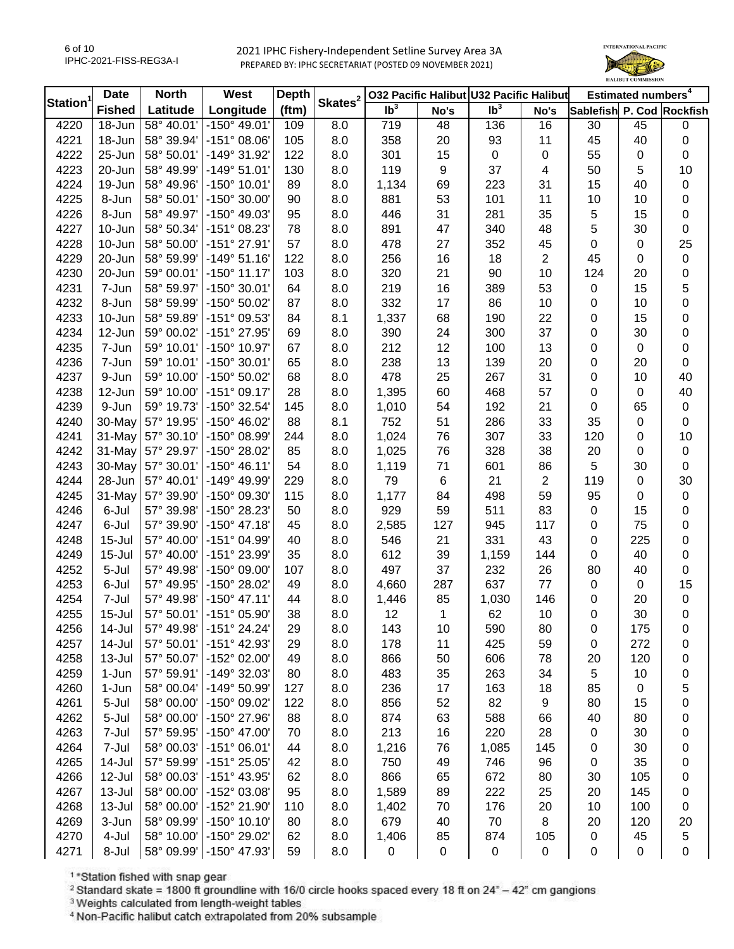

|                | <b>Date</b>   | <b>North</b>             | West                  | <b>Depth</b> | Skates <sup>2</sup> |                 |           | 032 Pacific Halibut U32 Pacific Halibut |                      |                           | Estimated numbers <sup>4</sup> |           |
|----------------|---------------|--------------------------|-----------------------|--------------|---------------------|-----------------|-----------|-----------------------------------------|----------------------|---------------------------|--------------------------------|-----------|
| <b>Station</b> | <b>Fished</b> | Latitude                 | Longitude             | (ftm)        |                     | Ib <sup>3</sup> | No's      | Ib <sup>3</sup>                         | No's                 | Sablefish P. Cod Rockfish |                                |           |
| 4220           | 18-Jun        | 58° 40.01'               | $-150^{\circ}$ 49.01' | 109          | 8.0                 | 719             | 48        | 136                                     | 16                   | 30                        | 45                             | 0         |
| 4221           | 18-Jun        | 58° 39.94'               | $-151^{\circ}$ 08.06' | 105          | 8.0                 | 358             | 20        | 93                                      | 11                   | 45                        | 40                             | 0         |
| 4222           | 25-Jun        | 58° 50.01'               | -149° 31.92'          | 122          | 8.0                 | 301             | 15        | $\mathbf 0$                             | 0                    | 55                        | $\mathbf 0$                    | 0         |
| 4223           | 20-Jun        | 58° 49.99'               | $-149°51.01'$         | 130          | 8.0                 | 119             | 9         | 37                                      | 4                    | 50                        | 5                              | 10        |
| 4224           | 19-Jun        | 58° 49.96'               | $-150^{\circ}$ 10.01' | 89           | 8.0                 | 1,134           | 69        | 223                                     | 31                   | 15                        | 40                             | 0         |
| 4225           | 8-Jun         | 58° 50.01'               | -150° 30.00'          | 90           | 8.0                 | 881             | 53        | 101                                     | 11                   | 10                        | 10                             | 0         |
| 4226           | 8-Jun         | 58° 49.97'               | -150° 49.03'          | 95           | 8.0                 | 446             | 31        | 281                                     | 35                   | $\mathbf 5$               | 15                             | 0         |
| 4227           | 10-Jun        | 58° 50.34'               | -151° 08.23'          | 78           | 8.0                 | 891             | 47        | 340                                     | 48                   | 5                         | 30                             | 0         |
| 4228           | 10-Jun        | 58° 50.00'               | $-151^{\circ}$ 27.91' | 57           | 8.0                 | 478             | 27        | 352                                     | 45                   | 0                         | $\mathbf 0$                    | 25        |
| 4229           | 20-Jun        | 58° 59.99'               | $-149°51.16'$         | 122          | 8.0                 | 256             | 16        | 18                                      | $\overline{c}$       | 45                        | 0                              | 0         |
| 4230           | 20-Jun        | 59° 00.01'               | $-150^{\circ}$ 11.17' | 103          | 8.0                 | 320             | 21        | 90                                      | 10                   | 124                       | 20                             | 0         |
| 4231           | 7-Jun         | 58° 59.97'               | -150° 30.01'          | 64           | 8.0                 | 219             | 16        | 389                                     | 53                   | 0                         | 15                             | 5         |
| 4232           | 8-Jun         | 58° 59.99'               | -150° 50.02'          | 87           | 8.0                 | 332             | 17        | 86                                      | 10                   | 0                         | 10                             | 0         |
| 4233           | 10-Jun        | 58° 59.89'               | -151° 09.53'          | 84           | 8.1                 | 1,337           | 68        | 190                                     | 22                   | 0                         | 15                             | 0         |
| 4234           | 12-Jun        | 59° 00.02'               | -151° 27.95'          | 69           | 8.0                 | 390             | 24        | 300                                     | 37                   | 0                         | 30                             | 0         |
| 4235           | 7-Jun         | 59° 10.01'               | -150° 10.97'          | 67           | 8.0                 | 212             | 12        | 100                                     | 13                   | 0                         | $\mathbf 0$                    | 0         |
| 4236           | 7-Jun         | 59° 10.01'               | -150° 30.01'          | 65           | 8.0                 | 238             | 13        | 139                                     | 20                   | 0                         | 20                             | 0         |
| 4237           | 9-Jun         | 59° 10.00'               | -150° 50.02'          | 68           | 8.0                 | 478             | 25        | 267                                     | 31                   | 0                         | 10                             | 40        |
| 4238           | 12-Jun        | 59° 10.00'               | $-151^{\circ}$ 09.17  | 28           | 8.0                 | 1,395           | 60        | 468                                     | 57                   | 0                         | 0                              | 40        |
| 4239           | 9-Jun         | 59° 19.73'               | -150° 32.54'          | 145          | 8.0                 | 1,010           | 54        | 192                                     | 21                   | 0                         | 65                             | 0         |
| 4240           | 30-May        | 57° 19.95'               | -150° 46.02'          | 88           | 8.1                 | 752             | 51        | 286                                     | 33                   | 35                        | 0                              | 0         |
| 4241           | 31-May        | 57° 30.10'               | -150° 08.99'          | 244          | 8.0                 | 1,024           | 76        | 307                                     | 33                   | 120                       | 0                              | 10        |
| 4242           | 31-May        | 57° 29.97'               | -150° 28.02'          | 85           | 8.0                 | 1,025           | 76        | 328                                     | 38                   | 20                        | 0                              | $\pmb{0}$ |
|                | 30-May        |                          | $-150^{\circ}$ 46.11' |              |                     |                 |           |                                         |                      | 5                         |                                |           |
| 4243<br>4244   |               | 57° 30.01'<br>57° 40.01' | -149° 49.99'          | 54<br>229    | 8.0                 | 1,119<br>79     | 71        | 601<br>21                               | 86<br>$\overline{2}$ |                           | 30<br>0                        | $\pmb{0}$ |
|                | 28-Jun        |                          |                       |              | 8.0                 |                 | 6         |                                         |                      | 119                       |                                | 30        |
| 4245           | 31-May        | 57° 39.90'               | $-150^{\circ}$ 09.30  | 115          | 8.0                 | 1,177           | 84        | 498                                     | 59                   | 95                        | 0                              | 0         |
| 4246           | 6-Jul         | 57° 39.98'               | -150° 28.23'          | 50           | 8.0                 | 929             | 59        | 511                                     | 83                   | 0                         | 15                             | 0         |
| 4247           | 6-Jul         | 57° 39.90'               | $-150^{\circ}$ 47.18  | 45           | 8.0                 | 2,585           | 127       | 945                                     | 117                  | 0                         | 75                             | 0         |
| 4248           | $15 -$ Jul    | 57° 40.00'               | -151° 04.99'          | 40           | 8.0                 | 546             | 21        | 331                                     | 43                   | $\pmb{0}$                 | 225                            | 0         |
| 4249           | $15 -$ Jul    | 57° 40.00'               | -151° 23.99'          | 35           | 8.0                 | 612             | 39        | 1,159                                   | 144                  | $\pmb{0}$                 | 40                             | 0         |
| 4252           | 5-Jul         | 57° 49.98'               | $-150^{\circ}$ 09.00' | 107          | 8.0                 | 497             | 37        | 232                                     | 26                   | 80                        | 40                             | $\pmb{0}$ |
| 4253           | 6-Jul         | 57° 49.95'               | -150° 28.02'          | 49           | 8.0                 | 4,660           | 287       | 637                                     | 77                   | 0                         | $\mathbf 0$                    | 15        |
| 4254           | 7-Jul         | 57° 49.98'               | $-150^{\circ}$ 47.11' | 44           | 8.0                 | 1,446           | 85        | 1,030                                   | 146                  | 0                         | 20                             | $\pmb{0}$ |
| 4255           | $15 -$ Jul    | 57° 50.01'               | $-151^{\circ}$ 05.90  | 38           | 8.0                 | 12              | 1         | 62                                      | 10                   | 0                         | 30                             | 0         |
| 4256           | 14-Jul        | 57° 49.98'               | -151° 24.24'          | 29           | 8.0                 | 143             | 10        | 590                                     | 80                   | O                         | 175                            | 0         |
| 4257           | 14-Jul        | 57° 50.01'               | -151° 42.93'          | 29           | 8.0                 | 178             | 11        | 425                                     | 59                   | 0                         | 272                            | 0         |
| 4258           | 13-Jul        | 57° 50.07'               | -152° 02.00'          | 49           | 8.0                 | 866             | 50        | 606                                     | 78                   | 20                        | 120                            | 0         |
| 4259           | 1-Jun         | 57° 59.91'               | -149° 32.03'          | 80           | 8.0                 | 483             | 35        | 263                                     | 34                   | 5                         | 10                             | 0         |
| 4260           | 1-Jun         | 58° 00.04'               | -149° 50.99'          | 127          | 8.0                 | 236             | 17        | 163                                     | 18                   | 85                        | 0                              | 5         |
| 4261           | 5-Jul         | 58° 00.00'               | -150° 09.02'          | 122          | 8.0                 | 856             | 52        | 82                                      | 9                    | 80                        | 15                             | 0         |
| 4262           | 5-Jul         | 58° 00.00'               | -150° 27.96'          | 88           | 8.0                 | 874             | 63        | 588                                     | 66                   | 40                        | 80                             | 0         |
| 4263           | 7-Jul         | 57° 59.95'               | $-150^{\circ}$ 47.00' | 70           | 8.0                 | 213             | 16        | 220                                     | 28                   | 0                         | 30                             | 0         |
| 4264           | 7-Jul         | 58° 00.03'               | $-151^{\circ}$ 06.01' | 44           | 8.0                 | 1,216           | 76        | 1,085                                   | 145                  | 0                         | 30                             | 0         |
| 4265           | 14-Jul        | 57° 59.99'               | $-151^{\circ} 25.05'$ | 42           | 8.0                 | 750             | 49        | 746                                     | 96                   | 0                         | 35                             | 0         |
| 4266           | 12-Jul        | 58° 00.03'               | -151° 43.95'          | 62           | 8.0                 | 866             | 65        | 672                                     | 80                   | 30                        | 105                            | 0         |
| 4267           | 13-Jul        | 58° 00.00'               | -152° 03.08'          | 95           | 8.0                 | 1,589           | 89        | 222                                     | 25                   | 20                        | 145                            | 0         |
| 4268           | 13-Jul        | 58° 00.00'               | -152° 21.90'          | 110          | 8.0                 | 1,402           | 70        | 176                                     | 20                   | 10                        | 100                            | 0         |
| 4269           | 3-Jun         | 58° 09.99'               | $-150^{\circ}$ 10.10' | 80           | 8.0                 | 679             | 40        | 70                                      | 8                    | 20                        | 120                            | 20        |
| 4270           | 4-Jul         | 58° 10.00'               | -150° 29.02'          | 62           | 8.0                 | 1,406           | 85        | 874                                     | 105                  | 0                         | 45                             | 5         |
| 4271           | 8-Jul         | 58° 09.99'               | -150° 47.93'          | 59           | 8.0                 | 0               | $\pmb{0}$ | $\pmb{0}$                               | $\pmb{0}$            | $\pmb{0}$                 | $\mathsf 0$                    | $\pmb{0}$ |

<sup>1</sup>\*Station fished with snap gear

<sup>2</sup> Standard skate = 1800 ft groundline with 16/0 circle hooks spaced every 18 ft on  $24^{\circ}$  - 42" cm gangions

<sup>3</sup> Weights calculated from length-weight tables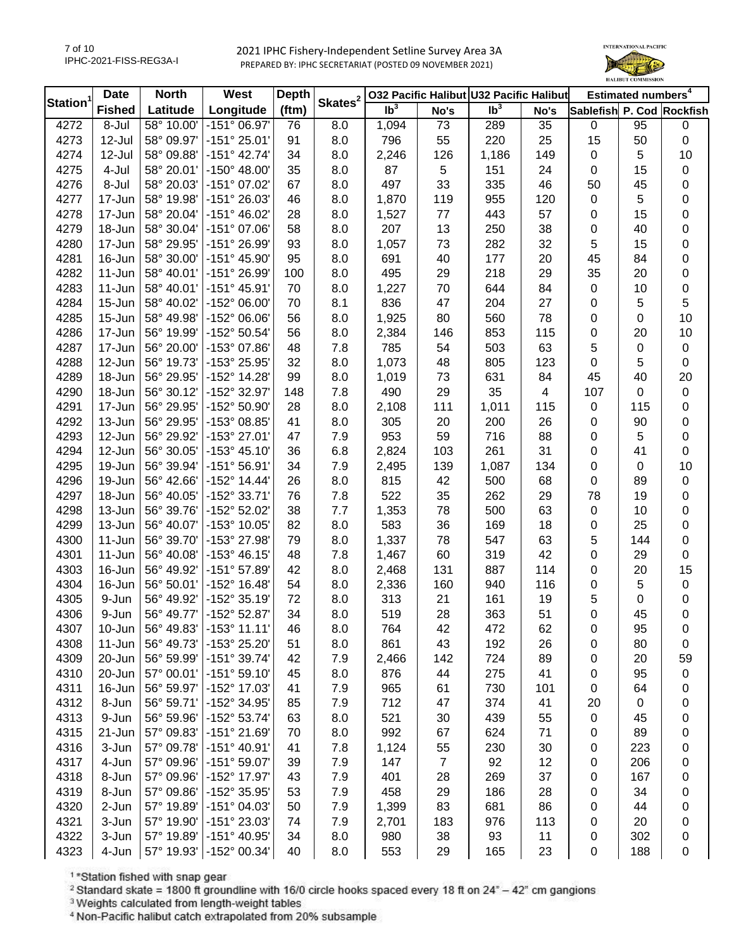

|                | <b>Date</b>   | <b>North</b> | West                  | <b>Depth</b> | Skates <sup>2</sup> |                 |                | 032 Pacific Halibut U32 Pacific Halibut |      |                           | Estimated numbers <sup>4</sup> |            |
|----------------|---------------|--------------|-----------------------|--------------|---------------------|-----------------|----------------|-----------------------------------------|------|---------------------------|--------------------------------|------------|
| <b>Station</b> | <b>Fished</b> | Latitude     | Longitude             | (ftm)        |                     | Ib <sup>3</sup> | No's           | Ib <sup>3</sup>                         | No's | Sablefish P. Cod Rockfish |                                |            |
| 4272           | 8-Jul         | 58° 10.00'   | $-151^{\circ}$ 06.97' | 76           | 8.0                 | 1,094           | 73             | 289                                     | 35   | $\mathbf 0$               | 95                             | 0          |
| 4273           | 12-Jul        | 58° 09.97'   | $-151°25.01'$         | 91           | 8.0                 | 796             | 55             | 220                                     | 25   | 15                        | 50                             | $\pmb{0}$  |
| 4274           | 12-Jul        | 58° 09.88'   | $-151^{\circ}$ 42.74' | 34           | 8.0                 | 2,246           | 126            | 1,186                                   | 149  | 0                         | 5                              | 10         |
| 4275           | 4-Jul         | 58° 20.01'   | $-150^{\circ}$ 48.00' | 35           | 8.0                 | 87              | 5              | 151                                     | 24   | 0                         | 15                             | 0          |
| 4276           | 8-Jul         | 58° 20.03'   | -151° 07.02'          | 67           | 8.0                 | 497             | 33             | 335                                     | 46   | 50                        | 45                             | 0          |
| 4277           | 17-Jun        | 58° 19.98'   | -151° 26.03'          | 46           | 8.0                 | 1,870           | 119            | 955                                     | 120  | 0                         | 5                              | 0          |
| 4278           | 17-Jun        | 58° 20.04'   | $-151^{\circ}$ 46.02' | 28           | 8.0                 | 1,527           | 77             | 443                                     | 57   | 0                         | 15                             | 0          |
| 4279           | 18-Jun        | 58° 30.04'   | $-151^{\circ}$ 07.06' | 58           | 8.0                 | 207             | 13             | 250                                     | 38   | 0                         | 40                             | 0          |
| 4280           | 17-Jun        | 58° 29.95'   | -151° 26.99'          | 93           | 8.0                 | 1,057           | 73             | 282                                     | 32   | 5                         | 15                             | 0          |
| 4281           | 16-Jun        | 58° 30.00'   | $-151^{\circ}$ 45.90  | 95           | 8.0                 | 691             | 40             | 177                                     | 20   | 45                        | 84                             | 0          |
| 4282           | 11-Jun        | 58° 40.01'   | -151° 26.99'          | 100          | 8.0                 | 495             | 29             | 218                                     | 29   | 35                        | 20                             | 0          |
| 4283           | 11-Jun        | 58° 40.01'   | $-151^{\circ}$ 45.91' | 70           | 8.0                 | 1,227           | 70             | 644                                     | 84   | 0                         | 10                             | 0          |
| 4284           | 15-Jun        | 58° 40.02'   | -152° 06.00'          | 70           | 8.1                 | 836             | 47             | 204                                     | 27   | 0                         | 5                              | $\sqrt{5}$ |
| 4285           | 15-Jun        | 58° 49.98'   | -152° 06.06'          | 56           | 8.0                 | 1,925           | 80             | 560                                     | 78   | 0                         | $\mathbf 0$                    | 10         |
| 4286           | 17-Jun        | 56° 19.99'   | -152° 50.54'          | 56           | 8.0                 | 2,384           | 146            | 853                                     | 115  | 0                         | 20                             | 10         |
| 4287           | 17-Jun        | 56° 20.00'   | -153° 07.86'          | 48           | 7.8                 | 785             | 54             | 503                                     | 63   | 5                         | $\pmb{0}$                      | $\pmb{0}$  |
| 4288           | 12-Jun        | 56° 19.73'   | -153° 25.95'          | 32           | 8.0                 | 1,073           | 48             | 805                                     | 123  | $\pmb{0}$                 | 5                              | $\pmb{0}$  |
| 4289           | 18-Jun        | 56° 29.95'   | -152° 14.28'          | 99           | 8.0                 | 1,019           | 73             | 631                                     | 84   | 45                        | 40                             | 20         |
| 4290           | 18-Jun        | 56° 30.12'   | -152° 32.97'          | 148          | 7.8                 | 490             | 29             | 35                                      | 4    | 107                       | 0                              | $\pmb{0}$  |
| 4291           | 17-Jun        | 56° 29.95'   | -152° 50.90'          | 28           | 8.0                 | 2,108           | 111            | 1,011                                   | 115  | 0                         | 115                            | 0          |
| 4292           | 13-Jun        | 56° 29.95'   | -153° 08.85'          | 41           | 8.0                 | 305             | 20             | 200                                     | 26   | 0                         | 90                             | 0          |
| 4293           | 12-Jun        | 56° 29.92'   | -153° 27.01'          | 47           | 7.9                 | 953             | 59             | 716                                     | 88   | 0                         | 5                              | 0          |
| 4294           | 12-Jun        | 56° 30.05'   | $-153^{\circ}$ 45.10' | 36           | 6.8                 | 2,824           | 103            | 261                                     | 31   | 0                         | 41                             | $\pmb{0}$  |
| 4295           | 19-Jun        | 56° 39.94'   | $-151°56.91'$         | 34           | 7.9                 | 2,495           | 139            | 1,087                                   | 134  | 0                         | 0                              | 10         |
| 4296           | 19-Jun        | 56° 42.66'   | $-152^{\circ}$ 14.44' | 26           | 8.0                 | 815             | 42             | 500                                     | 68   | 0                         | 89                             | $\pmb{0}$  |
| 4297           | 18-Jun        | 56° 40.05'   | -152° 33.71'          | 76           | 7.8                 | 522             | 35             | 262                                     | 29   | 78                        | 19                             | 0          |
| 4298           | 13-Jun        | 56° 39.76'   | -152° 52.02'          | 38           | 7.7                 | 1,353           | 78             | 500                                     | 63   | 0                         | 10                             | 0          |
| 4299           | 13-Jun        | 56° 40.07'   | -153° 10.05'          | 82           | 8.0                 | 583             | 36             | 169                                     | 18   | 0                         | 25                             | 0          |
| 4300           | 11-Jun        | 56° 39.70'   | -153° 27.98'          | 79           | 8.0                 | 1,337           | 78             | 547                                     | 63   | 5                         | 144                            | 0          |
| 4301           | $11-Jun$      | 56° 40.08'   | $-153^{\circ}$ 46.15' | 48           | 7.8                 | 1,467           | 60             | 319                                     | 42   | 0                         | 29                             | $\pmb{0}$  |
| 4303           | 16-Jun        | 56° 49.92'   | -151° 57.89'          | 42           | 8.0                 | 2,468           | 131            | 887                                     | 114  | 0                         | 20                             | 15         |
| 4304           | 16-Jun        | 56° 50.01'   | $-152^{\circ}$ 16.48' | 54           | 8.0                 | 2,336           | 160            | 940                                     | 116  | 0                         | 5                              | $\pmb{0}$  |
| 4305           | 9-Jun         | 56° 49.92'   | -152° 35.19'          | 72           | 8.0                 | 313             | 21             | 161                                     | 19   | 5                         | $\mathbf 0$                    | 0          |
| 4306           | 9-Jun         | 56° 49.77'   | -152° 52.87'          | 34           | 8.0                 | 519             | 28             | 363                                     | 51   | 0                         | 45                             | 0          |
| 4307           | 10-Jun        | 56° 49.83'   | $-153°$ 11.11'        | 46           | 8.0                 | 764             | 42             | 472                                     | 62   |                           | 95                             | 0          |
| 4308           | 11-Jun        | 56° 49.73'   | -153° 25.20'          | 51           | 8.0                 | 861             | 43             | 192                                     | 26   | O<br>0                    | 80                             | 0          |
| 4309           | 20-Jun        | 56° 59.99'   | $-151^{\circ}$ 39.74' | 42           | 7.9                 | 2,466           | 142            | 724                                     | 89   | 0                         | 20                             | 59         |
| 4310           | 20-Jun        | 57° 00.01'   | $-151^{\circ} 59.10'$ | 45           | 8.0                 | 876             | 44             | 275                                     | 41   |                           | 95                             | 0          |
| 4311           | 16-Jun        | 56° 59.97'   | -152° 17.03'          | 41           | 7.9                 | 965             | 61             | 730                                     | 101  | 0                         | 64                             |            |
| 4312           | 8-Jun         | 56° 59.71'   | -152° 34.95'          | 85           |                     | 712             | 47             | 374                                     | 41   | 0<br>20                   | 0                              | 0          |
| 4313           | 9-Jun         | 56° 59.96'   | -152° 53.74'          |              | 7.9                 | 521             |                |                                         |      |                           |                                | 0          |
|                |               |              |                       | 63           | 8.0                 |                 | 30             | 439                                     | 55   | 0                         | 45                             | 0          |
| 4315           | 21-Jun        | 57° 09.83'   | $-151^{\circ} 21.69'$ | 70           | 8.0                 | 992             | 67             | 624                                     | 71   | 0                         | 89                             | 0          |
| 4316           | 3-Jun         | 57° 09.78'   | $-151^{\circ}$ 40.91' | 41           | 7.8                 | 1,124           | 55             | 230                                     | 30   | 0                         | 223                            | 0          |
| 4317           | 4-Jun         | 57° 09.96'   | $-151^{\circ} 59.07'$ | 39           | 7.9                 | 147             | $\overline{7}$ | 92                                      | 12   | 0                         | 206                            | 0          |
| 4318           | 8-Jun         | 57° 09.96'   | -152° 17.97'          | 43           | 7.9                 | 401             | 28             | 269                                     | 37   | 0                         | 167                            | 0          |
| 4319           | 8-Jun         | 57° 09.86'   | -152° 35.95'          | 53           | 7.9                 | 458             | 29             | 186                                     | 28   | 0                         | 34                             | 0          |
| 4320           | 2-Jun         | 57° 19.89'   | $-151^{\circ}$ 04.03' | 50           | 7.9                 | 1,399           | 83             | 681                                     | 86   | 0                         | 44                             | 0          |
| 4321           | 3-Jun         | 57° 19.90'   | -151° 23.03'          | 74           | 7.9                 | 2,701           | 183            | 976                                     | 113  | 0                         | 20                             | 0          |
| 4322           | 3-Jun         | 57° 19.89'   | $-151^{\circ}$ 40.95' | 34           | 8.0                 | 980             | 38             | 93                                      | 11   | 0                         | 302                            | 0          |
| 4323           | 4-Jun         | 57° 19.93'   | -152° 00.34'          | 40           | 8.0                 | 553             | 29             | 165                                     | 23   | $\pmb{0}$                 | 188                            | 0          |

<sup>1</sup>\*Station fished with snap gear

<sup>2</sup> Standard skate = 1800 ft groundline with 16/0 circle hooks spaced every 18 ft on  $24^{\circ}$  - 42" cm gangions

<sup>3</sup> Weights calculated from length-weight tables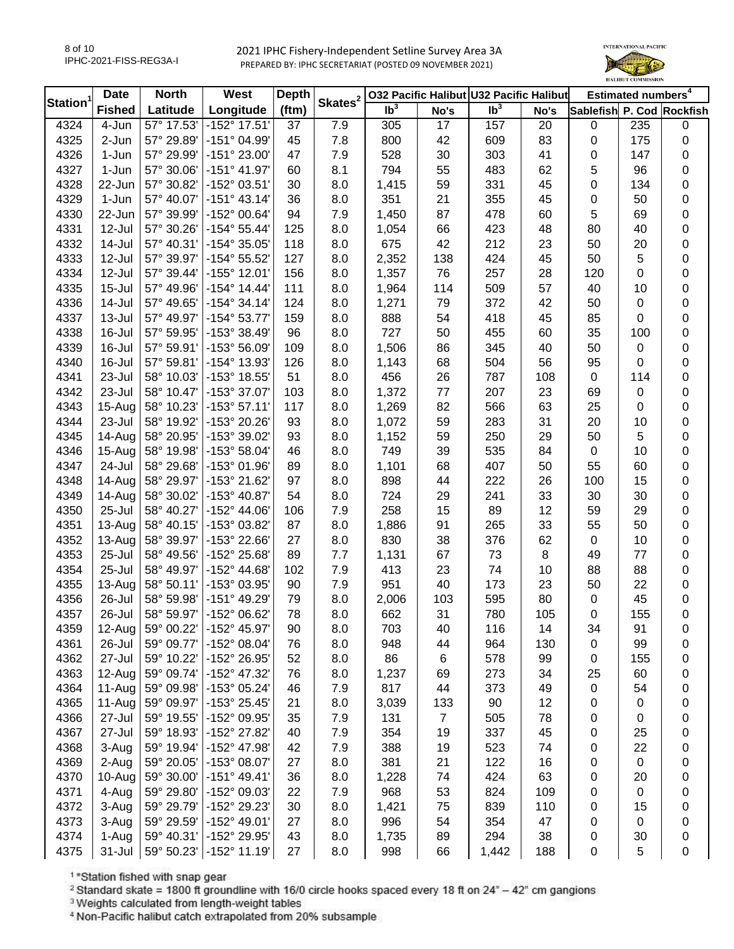

| Station <sup>1</sup> | <b>Date</b>   | <b>North</b> | West                  | <b>Depth</b> | Skates <sup>2</sup> |                 |                | 032 Pacific Halibut U32 Pacific Halibut |      |                           | Estimated numbers <sup>4</sup> |           |
|----------------------|---------------|--------------|-----------------------|--------------|---------------------|-----------------|----------------|-----------------------------------------|------|---------------------------|--------------------------------|-----------|
|                      | <b>Fished</b> | Latitude     | Longitude             | (ftm)        |                     | Ib <sup>3</sup> | No's           | Ib <sup>3</sup>                         | No's | Sablefish P. Cod Rockfish |                                |           |
| 4324                 | 4-Jun         | 57° 17.53'   | -152° 17.51'          | 37           | 7.9                 | 305             | 17             | 157                                     | 20   | $\pmb{0}$                 | 235                            | 0         |
| 4325                 | 2-Jun         | 57° 29.89'   | -151° 04.99'          | 45           | 7.8                 | 800             | 42             | 609                                     | 83   | 0                         | 175                            | 0         |
| 4326                 | 1-Jun         | 57° 29.99'   | -151° 23.00'          | 47           | 7.9                 | 528             | 30             | 303                                     | 41   | 0                         | 147                            | 0         |
| 4327                 | 1-Jun         | 57° 30.06'   | $-151^{\circ}$ 41.97' | 60           | 8.1                 | 794             | 55             | 483                                     | 62   | 5                         | 96                             | 0         |
| 4328                 | 22-Jun        | 57° 30.82'   | -152° 03.51'          | 30           | 8.0                 | 1,415           | 59             | 331                                     | 45   | 0                         | 134                            | 0         |
| 4329                 | 1-Jun         | 57° 40.07'   | $-151°$ 43.14'        | 36           | 8.0                 | 351             | 21             | 355                                     | 45   | 0                         | 50                             | 0         |
| 4330                 | 22-Jun        | 57° 39.99'   | -152° 00.64'          | 94           | 7.9                 | 1,450           | 87             | 478                                     | 60   | 5                         | 69                             | 0         |
| 4331                 | 12-Jul        | 57° 30.26'   | $-154^{\circ} 55.44'$ | 125          | 8.0                 | 1,054           | 66             | 423                                     | 48   | 80                        | 40                             | 0         |
| 4332                 | 14-Jul        | 57° 40.31'   | $-154^{\circ} 35.05'$ | 118          | 8.0                 | 675             | 42             | 212                                     | 23   | 50                        | 20                             | 0         |
| 4333                 | 12-Jul        | 57° 39.97'   | -154° 55.52'          | 127          | 8.0                 | 2,352           | 138            | 424                                     | 45   | 50                        | 5                              | 0         |
| 4334                 | 12-Jul        | 57° 39.44'   | -155° 12.01'          | 156          | 8.0                 | 1,357           | 76             | 257                                     | 28   | 120                       | 0                              | 0         |
| 4335                 | $15 -$ Jul    | 57° 49.96'   | $-154^{\circ}$ 14.44' | 111          | 8.0                 | 1,964           | 114            | 509                                     | 57   | 40                        | 10                             | 0         |
| 4336                 | 14-Jul        | 57° 49.65'   | $-154^{\circ}$ 34.14' | 124          | 8.0                 | 1,271           | 79             | 372                                     | 42   | 50                        | $\mathbf 0$                    | 0         |
| 4337                 | $13 -$ Jul    | 57° 49.97'   | $-154^{\circ}53.77'$  | 159          | 8.0                 | 888             | 54             | 418                                     | 45   | 85                        | 0                              | 0         |
| 4338                 | 16-Jul        | 57° 59.95'   | -153° 38.49'          | 96           | 8.0                 | 727             | 50             | 455                                     | 60   | 35                        | 100                            | $\pmb{0}$ |
| 4339                 | 16-Jul        | 57° 59.91'   | -153° 56.09'          | 109          | 8.0                 | 1,506           | 86             | 345                                     | 40   | 50                        | $\mathsf 0$                    | 0         |
| 4340                 | 16-Jul        | 57° 59.81'   | -154° 13.93'          | 126          | 8.0                 | 1,143           | 68             | 504                                     | 56   | 95                        | 0                              | 0         |
| 4341                 | 23-Jul        | 58° 10.03'   | -153° 18.55'          | 51           | 8.0                 | 456             | 26             | 787                                     | 108  | 0                         | 114                            | 0         |
| 4342                 | 23-Jul        | 58° 10.47'   | -153° 37.07'          | 103          | 8.0                 | 1,372           | 77             | 207                                     | 23   | 69                        | $\mathbf 0$                    | 0         |
| 4343                 | $15-Aug$      | 58° 10.23'   | $-153°57.11'$         | 117          | 8.0                 | 1,269           | 82             | 566                                     | 63   | 25                        | 0                              | 0         |
| 4344                 | 23-Jul        | 58° 19.92'   | -153° 20.26'          | 93           | 8.0                 | 1,072           | 59             | 283                                     | 31   | 20                        | 10                             | 0         |
| 4345                 | $14-Au$ g     | 58° 20.95'   | -153° 39.02'          | 93           | 8.0                 | 1,152           | 59             | 250                                     | 29   | 50                        | 5                              | 0         |
| 4346                 | $15-Aug$      | 58° 19.98'   | -153° 58.04'          | 46           | 8.0                 | 749             | 39             | 535                                     | 84   | 0                         | 10                             | 0         |
| 4347                 | 24-Jul        | 58° 29.68'   | -153° 01.96'          | 89           | 8.0                 | 1,101           | 68             | 407                                     | 50   | 55                        | 60                             | 0         |
| 4348                 | $14-Au$ g     | 58° 29.97'   | -153° 21.62'          | 97           | 8.0                 | 898             | 44             | 222                                     | 26   | 100                       | 15                             | 0         |
| 4349                 | 14-Aug        | 58° 30.02'   | -153° 40.87'          | 54           | 8.0                 | 724             | 29             | 241                                     | 33   | 30                        | 30                             | 0         |
| 4350                 | 25-Jul        | 58° 40.27'   | -152° 44.06'          | 106          | 7.9                 | 258             | 15             | 89                                      | 12   | 59                        | 29                             | 0         |
| 4351                 | $13-Auq$      | 58° 40.15'   | -153° 03.82'          | 87           | 8.0                 | 1,886           | 91             | 265                                     | 33   | 55                        | 50                             | 0         |
| 4352                 | $13-Auq$      | 58° 39.97'   | -153° 22.66'          | 27           | 8.0                 | 830             | 38             | 376                                     | 62   | $\pmb{0}$                 | 10                             | 0         |
| 4353                 | 25-Jul        | 58° 49.56'   | -152° 25.68'          | 89           | 7.7                 | 1,131           | 67             | 73                                      | 8    | 49                        | 77                             | 0         |
| 4354                 | $25 -$ Jul    | 58° 49.97'   | -152° 44.68'          | 102          | 7.9                 | 413             | 23             | 74                                      | 10   | 88                        | 88                             | 0         |
| 4355                 | 13-Aug        | 58° 50.11'   | -153° 03.95'          | 90           | 7.9                 | 951             | 40             | 173                                     | 23   | 50                        | 22                             | $\pmb{0}$ |
| 4356                 | 26-Jul        | 58° 59.98'   | -151° 49.29'          | 79           | 8.0                 | 2,006           | 103            | 595                                     | 80   | 0                         | 45                             | $\pmb{0}$ |
| 4357                 | 26-Jul        | 58° 59.97'   | -152° 06.62'          | 78           | 8.0                 | 662             | 31             | 780                                     | 105  | 0                         | 155                            | 0         |
| 4359                 | 12-Aug        | 59° 00.22'   | -152° 45.97'          | 90           | 8.0                 | 703             | 40             | 116                                     | 14   | 34                        | 91                             | 0         |
| 4361                 | 26-Jul        | 59° 09.77'   | -152° 08.04'          | 76           | 8.0                 | 948             | 44             | 964                                     | 130  | 0                         | 99                             | 0         |
| 4362                 | 27-Jul        | 59° 10.22'   | -152° 26.95'          | 52           | 8.0                 | 86              | 6              | 578                                     | 99   | 0                         | 155                            | 0         |
| 4363                 | 12-Aug        | 59° 09.74'   | -152° 47.32'          | 76           | 8.0                 | 1,237           | 69             | 273                                     | 34   | 25                        | 60                             | 0         |
| 4364                 | $11-Au$ g     | 59° 09.98'   | -153° 05.24'          | 46           | 7.9                 | 817             | 44             | 373                                     | 49   | 0                         | 54                             | 0         |
| 4365                 | $11-Au$ g     | 59° 09.97'   | -153° 25.45'          | 21           | 8.0                 | 3,039           | 133            | 90                                      | 12   | 0                         | 0                              | 0         |
| 4366                 | 27-Jul        | 59° 19.55'   | -152° 09.95'          | 35           | 7.9                 | 131             | $\overline{7}$ | 505                                     | 78   | 0                         | 0                              | 0         |
| 4367                 | 27-Jul        | 59° 18.93'   | -152° 27.82'          | 40           | 7.9                 | 354             | 19             | 337                                     | 45   | 0                         | 25                             | 0         |
| 4368                 | 3-Aug         | 59° 19.94'   | -152° 47.98'          | 42           | 7.9                 | 388             | 19             | 523                                     | 74   | 0                         | 22                             | 0         |
| 4369                 | 2-Aug         | 59° 20.05'   | -153° 08.07'          | 27           | 8.0                 | 381             | 21             | 122                                     | 16   | 0                         | 0                              | 0         |
| 4370                 | $10-Au$ g     | 59° 30.00'   | $-151^{\circ}$ 49.41' | 36           | 8.0                 | 1,228           | 74             | 424                                     | 63   | 0                         | 20                             | 0         |
| 4371                 | 4-Aug         | 59° 29.80'   | -152° 09.03'          | 22           | 7.9                 | 968             | 53             | 824                                     | 109  | 0                         | $\pmb{0}$                      | 0         |
| 4372                 | 3-Aug         | 59° 29.79'   | -152° 29.23'          | 30           | 8.0                 | 1,421           | 75             | 839                                     | 110  | 0                         | 15                             | 0         |
| 4373                 | 3-Aug         | 59° 29.59'   | -152° 49.01'          | 27           | 8.0                 | 996             | 54             | 354                                     | 47   | 0                         | 0                              | 0         |
| 4374                 | 1-Aug         | 59° 40.31'   | -152° 29.95'          | 43           | 8.0                 | 1,735           | 89             | 294                                     | 38   | 0                         | 30                             | 0         |
| 4375                 | $31 -$ Jul    | 59° 50.23'   | $-152^{\circ}$ 11.19' | 27           | 8.0                 | 998             | 66             | 1,442                                   | 188  | $\pmb{0}$                 | 5                              | $\pmb{0}$ |

<sup>1</sup>\*Station fished with snap gear

<sup>2</sup> Standard skate = 1800 ft groundline with 16/0 circle hooks spaced every 18 ft on  $24^{\circ}$  - 42" cm gangions

<sup>3</sup> Weights calculated from length-weight tables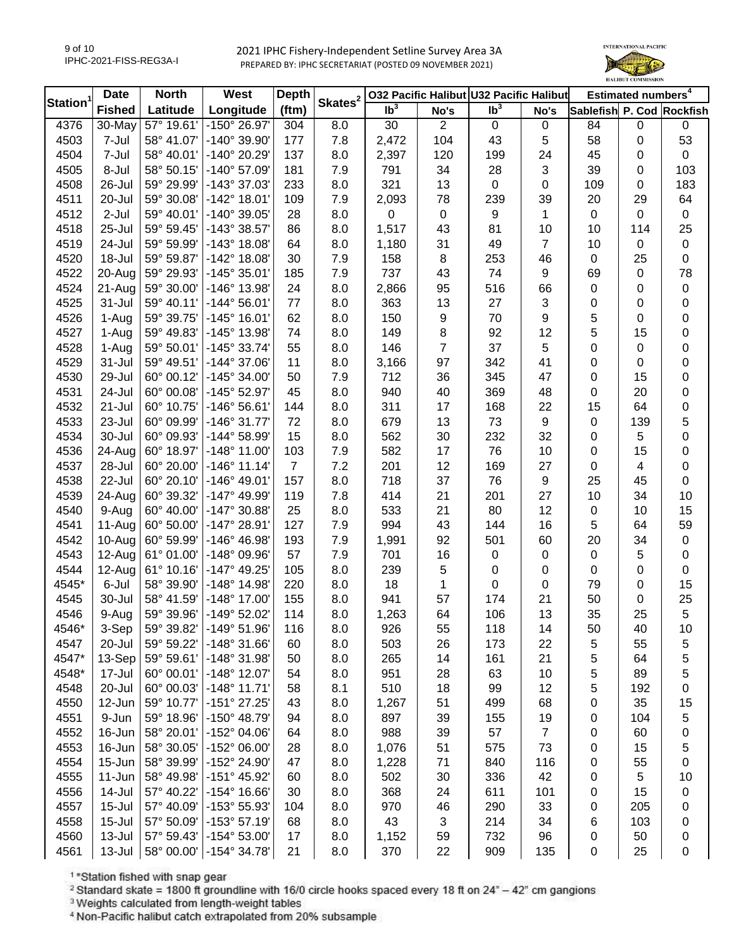

| Station <sup>1</sup> | <b>Date</b>   | <b>North</b> | West                  | <b>Depth</b>   | Skates <sup>2</sup> $\vert$ | 032 Pacific Halibut U32 Pacific Halibut |                |                 |      | Estimated numbers <sup>4</sup> |                  |             |
|----------------------|---------------|--------------|-----------------------|----------------|-----------------------------|-----------------------------------------|----------------|-----------------|------|--------------------------------|------------------|-------------|
|                      | <b>Fished</b> | Latitude     | Longitude             | (ftm)          |                             | Ib <sup>3</sup>                         | No's           | Ib <sup>3</sup> | No's | Sablefish P. Cod Rockfish      |                  |             |
| 4376                 | 30-May        | 57° 19.61'   | -150° 26.97'          | 304            | 8.0                         | 30                                      | $\overline{2}$ | 0               | 0    | 84                             | $\mathsf 0$      | 0           |
| 4503                 | 7-Jul         | 58° 41.07'   | -140° 39.90'          | 177            | 7.8                         | 2,472                                   | 104            | 43              | 5    | 58                             | $\boldsymbol{0}$ | 53          |
| 4504                 | 7-Jul         | 58° 40.01'   | -140° 20.29'          | 137            | 8.0                         | 2,397                                   | 120            | 199             | 24   | 45                             | 0                | $\mathbf 0$ |
| 4505                 | 8-Jul         | 58° 50.15'   | $-140^{\circ}$ 57.09  | 181            | 7.9                         | 791                                     | 34             | 28              | 3    | 39                             | 0                | 103         |
| 4508                 | 26-Jul        | 59° 29.99'   | -143° 37.03'          | 233            | 8.0                         | 321                                     | 13             | $\mathbf 0$     | 0    | 109                            | 0                | 183         |
| 4511                 | 20-Jul        | 59° 30.08'   | $-142^{\circ}$ 18.01' | 109            | 7.9                         | 2,093                                   | 78             | 239             | 39   | 20                             | 29               | 64          |
| 4512                 | 2-Jul         | 59° 40.01'   | -140° 39.05'          | 28             | 8.0                         | 0                                       | 0              | 9               | 1    | 0                              | $\Omega$         | $\pmb{0}$   |
| 4518                 | 25-Jul        | 59° 59.45'   | -143° 38.57'          | 86             | 8.0                         | 1,517                                   | 43             | 81              | 10   | 10                             | 114              | 25          |
| 4519                 | 24-Jul        | 59° 59.99'   | $-143°$ 18.08'        | 64             | 8.0                         | 1,180                                   | 31             | 49              | 7    | 10                             | $\boldsymbol{0}$ | $\pmb{0}$   |
| 4520                 | 18-Jul        | 59° 59.87'   | $-142^{\circ}$ 18.08' | 30             | 7.9                         | 158                                     | 8              | 253             | 46   | $\mathbf 0$                    | 25               | $\mathbf 0$ |
| 4522                 | 20-Aug        | 59° 29.93'   | $-145°35.01'$         | 185            | 7.9                         | 737                                     | 43             | 74              | 9    | 69                             | $\mathbf 0$      | 78          |
| 4524                 | 21-Aug        | 59° 30.00'   | -146° 13.98'          | 24             | 8.0                         | 2,866                                   | 95             | 516             | 66   | 0                              | 0                | $\pmb{0}$   |
| 4525                 | $31 -$ Jul    | 59° 40.11'   | $-144^{\circ} 56.01'$ | 77             | 8.0                         | 363                                     | 13             | 27              | 3    | 0                              | $\boldsymbol{0}$ | $\pmb{0}$   |
| 4526                 | 1-Aug         | 59° 39.75'   | $-145^{\circ}$ 16.01' | 62             | 8.0                         | 150                                     | 9              | 70              | 9    | 5                              | $\mathbf 0$      | $\pmb{0}$   |
| 4527                 | 1-Aug         | 59° 49.83'   | -145° 13.98'          | 74             | 8.0                         | 149                                     | 8              | 92              | 12   | 5                              | 15               | $\pmb{0}$   |
| 4528                 | 1-Aug         | 59° 50.01'   | $-145^{\circ}$ 33.74' | 55             | 8.0                         | 146                                     | 7              | 37              | 5    | 0                              | 0                | $\pmb{0}$   |
| 4529                 | 31-Jul        | 59° 49.51'   | $-144^{\circ}$ 37.06' | 11             | 8.0                         | 3,166                                   | 97             | 342             | 41   | 0                              | $\boldsymbol{0}$ | $\pmb{0}$   |
| 4530                 | 29-Jul        | 60° 00.12'   | $-145^{\circ}$ 34.00' | 50             | 7.9                         | 712                                     | 36             | 345             | 47   | 0                              | 15               | 0           |
| 4531                 | 24-Jul        | 60° 00.08'   | -145° 52.97'          | 45             | 8.0                         | 940                                     | 40             | 369             | 48   | 0                              | 20               | 0           |
| 4532                 | 21-Jul        | 60° 10.75'   | $-146°56.61'$         | 144            | 8.0                         | 311                                     | 17             | 168             | 22   | 15                             | 64               | 0           |
| 4533                 | 23-Jul        | 60° 09.99'   | $-146°31.77'$         | 72             | 8.0                         | 679                                     | 13             | 73              | 9    | 0                              | 139              | 5           |
| 4534                 | 30-Jul        | 60° 09.93'   | $-144^{\circ} 58.99'$ | 15             | 8.0                         | 562                                     | 30             | 232             | 32   | 0                              | 5                | 0           |
| 4536                 | 24-Aug        | 60° 18.97'   | $-148^\circ$ 11.00    | 103            | 7.9                         | 582                                     | 17             | 76              | 10   | 0                              | 15               | 0           |
| 4537                 | 28-Jul        | 60° 20.00'   | $-146^{\circ}$ 11.14' | $\overline{7}$ | 7.2                         | 201                                     | 12             | 169             | 27   | 0                              | $\overline{4}$   | 0           |
| 4538                 | 22-Jul        | 60° 20.10'   | $-146^{\circ}$ 49.01' | 157            | 8.0                         | 718                                     | 37             | 76              | 9    | 25                             | 45               | $\mathbf 0$ |
| 4539                 | 24-Aug        | 60° 39.32'   | $-147^{\circ}$ 49.99' | 119            | 7.8                         | 414                                     | 21             | 201             | 27   | 10                             | 34               | 10          |
| 4540                 | 9-Aug         | 60° 40.00'   | $-147^{\circ}$ 30.88' | 25             | 8.0                         | 533                                     | 21             | 80              | 12   | $\mathbf 0$                    | 10               | 15          |
| 4541                 | 11-Aug        | 60° 50.00'   | $-147^{\circ}$ 28.91' | 127            | 7.9                         | 994                                     | 43             | 144             | 16   | 5                              | 64               | 59          |
| 4542                 | 10-Aug        | 60° 59.99'   | $-146^{\circ} 46.98'$ | 193            | 7.9                         | 1,991                                   | 92             | 501             | 60   | 20                             | 34               | $\pmb{0}$   |
| 4543                 | 12-Aug        | 61° 01.00'   | -148° 09.96'          | 57             | 7.9                         | 701                                     | 16             | $\pmb{0}$       | 0    | $\pmb{0}$                      | 5                | $\pmb{0}$   |
| 4544                 | 12-Aug        | 61° 10.16'   | $-147^{\circ}$ 49.25' | 105            | 8.0                         | 239                                     | 5              | 0               | 0    | $\pmb{0}$                      | $\mathbf 0$      | $\pmb{0}$   |
| 4545*                | 6-Jul         | 58° 39.90'   | $-148^\circ$ 14.98'   | 220            | 8.0                         | 18                                      | 1              | 0               | 0    | 79                             | $\boldsymbol{0}$ | 15          |
| 4545                 | 30-Jul        | 58° 41.59'   | $-148^{\circ}$ 17.00' | 155            | 8.0                         | 941                                     | 57             | 174             | 21   | 50                             | $\boldsymbol{0}$ | 25          |
| 4546                 | 9-Aug         | 59° 39.96'   | -149° 52.02'          | 114            | 8.0                         | 1,263                                   | 64             | 106             | 13   | 35                             | 25               | 5           |
| 4546*                | 3-Sep         | 59° 39.82'   | $-149°51.96'$         | 116            | 8.0                         | 926                                     | 55             | 118             | 14   | 50                             | 40               | 10          |
| 4547                 | 20-Jul        | 59° 59.22'   | $-148°31.66'$         | 60             | 8.0                         | 503                                     | 26             | 173             | 22   | 5                              | 55               | 5           |
| 4547*                | 13-Sep        | 59° 59.61'   | $-148°31.98'$         | 50             | 8.0                         | 265                                     | 14             | 161             | 21   | 5                              | 64               | 5           |
| 4548*                | 17-Jul        | 60° 00.01'   | $-148^\circ$ 12.07'   | 54             | 8.0                         | 951                                     | 28             | 63              | 10   | 5                              | 89               | 5           |
| 4548                 | 20-Jul        | 60° 00.03'   | $-148°$ 11.71'        | 58             | 8.1                         | 510                                     | 18             | 99              | 12   | 5                              | 192              | 0           |
| 4550                 | 12-Jun        | 59° 10.77'   | $-151^{\circ}$ 27.25' | 43             | 8.0                         | 1,267                                   | 51             | 499             | 68   | 0                              | 35               | 15          |
| 4551                 | 9-Jun         | 59° 18.96'   | -150° 48.79'          | 94             | 8.0                         | 897                                     | 39             | 155             | 19   | 0                              | 104              | 5           |
| 4552                 | 16-Jun        | 58° 20.01'   | -152° 04.06'          | 64             | 8.0                         | 988                                     | 39             | 57              | 7    | 0                              | 60               | 0           |
| 4553                 | 16-Jun        | 58° 30.05'   | -152° 06.00'          | 28             | 8.0                         | 1,076                                   | 51             | 575             | 73   | 0                              | 15               | 5           |
| 4554                 | 15-Jun        | 58° 39.99'   | -152° 24.90'          | 47             | 8.0                         | 1,228                                   | 71             | 840             | 116  | 0                              | 55               | 0           |
| 4555                 | 11-Jun        | 58° 49.98'   | -151° 45.92'          | 60             | 8.0                         | 502                                     | 30             | 336             | 42   | 0                              | 5                | 10          |
| 4556                 | 14-Jul        | 57° 40.22'   | $-154^{\circ}$ 16.66' | 30             | 8.0                         | 368                                     | 24             | 611             | 101  | 0                              | 15               | 0           |
| 4557                 | $15 -$ Jul    | 57° 40.09'   | -153° 55.93'          | 104            | 8.0                         | 970                                     | 46             | 290             | 33   | 0                              | 205              | 0           |
| 4558                 | $15 -$ Jul    | 57° 50.09'   | $-153^{\circ}57.19'$  | 68             | 8.0                         | 43                                      | 3              | 214             | 34   | 6                              | 103              | 0           |
| 4560                 | 13-Jul        | 57° 59.43'   | $-154^{\circ} 53.00'$ | 17             | 8.0                         | 1,152                                   | 59             | 732             | 96   | 0                              | 50               | 0           |
| 4561                 | $13 -$ Jul    | 58° 00.00'   | $-154^{\circ}$ 34.78' | 21             | 8.0                         | 370                                     | 22             | 909             | 135  | 0                              | 25               | $\pmb{0}$   |
|                      |               |              |                       |                |                             |                                         |                |                 |      |                                |                  |             |

<sup>1</sup>\*Station fished with snap gear

<sup>2</sup> Standard skate = 1800 ft groundline with 16/0 circle hooks spaced every 18 ft on  $24^{\circ}$  - 42" cm gangions

<sup>3</sup> Weights calculated from length-weight tables